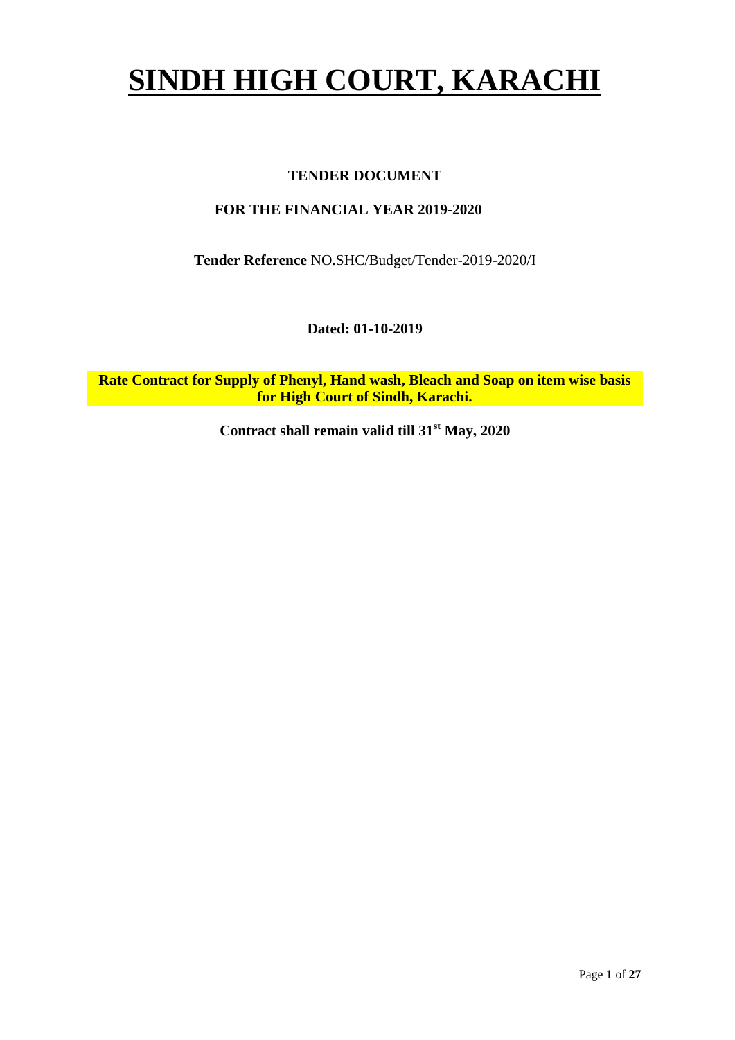# **SINDH HIGH COURT, KARACHI**

## **TENDER DOCUMENT**

## **FOR THE FINANCIAL YEAR 2019-2020**

**Tender Reference** NO.SHC/Budget/Tender-2019-2020/I

**Dated: 01-10-2019**

**Rate Contract for Supply of Phenyl, Hand wash, Bleach and Soap on item wise basis for High Court of Sindh, Karachi.**

**Contract shall remain valid till 31st May, 2020**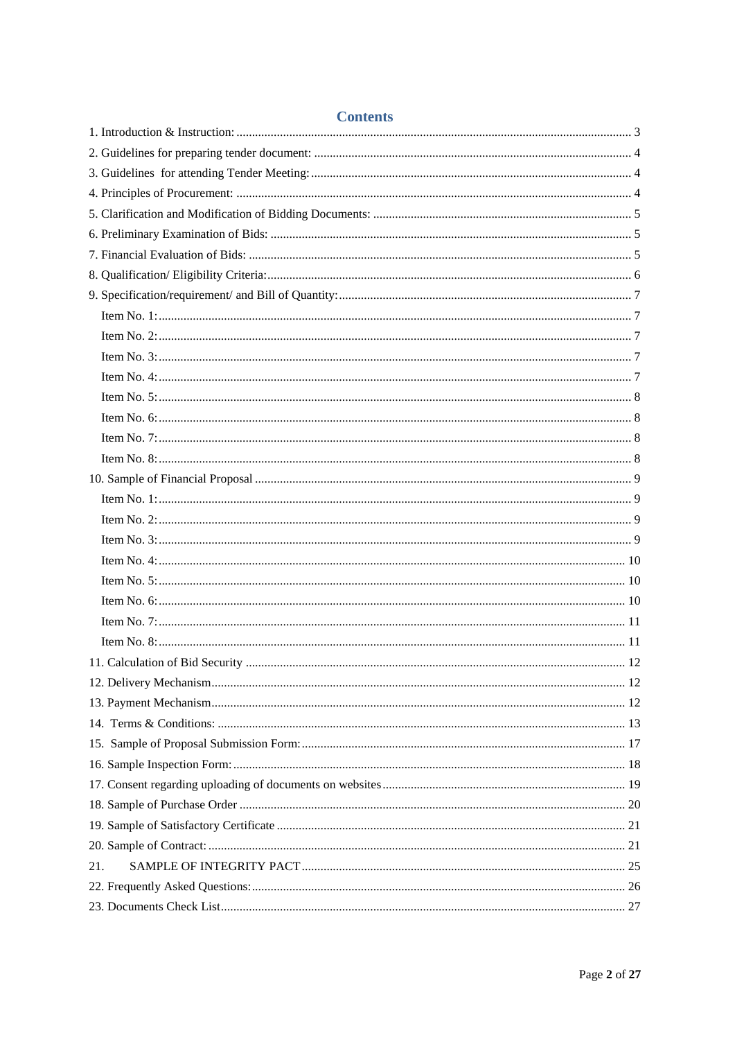| Coments |  |
|---------|--|
|         |  |
|         |  |
|         |  |
|         |  |
|         |  |
|         |  |
|         |  |
|         |  |
|         |  |
|         |  |
|         |  |
|         |  |
|         |  |
|         |  |
|         |  |
|         |  |
|         |  |
|         |  |
|         |  |
|         |  |
|         |  |
|         |  |
|         |  |
|         |  |
|         |  |
|         |  |
|         |  |
|         |  |
|         |  |
|         |  |
|         |  |
|         |  |
|         |  |
|         |  |
|         |  |
|         |  |
| 21.     |  |
|         |  |
|         |  |

## **Contents**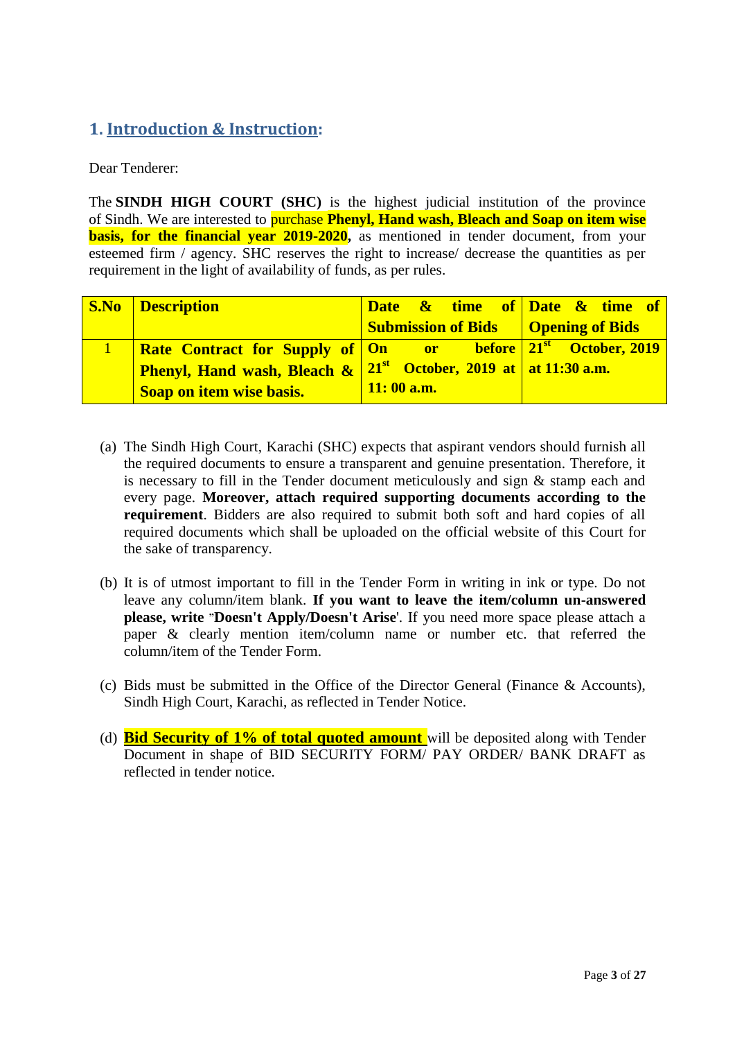# <span id="page-2-0"></span>**1. Introduction & Instruction:**

Dear Tenderer:

The **SINDH HIGH COURT (SHC)** is the highest judicial institution of the province of [Sindh.](https://en.wikipedia.org/wiki/Sindh) We are interested to purchase **Phenyl, Hand wash, Bleach and Soap on item wise basis, for the financial year 2019-2020**, as mentioned in tender document, from your esteemed firm / agency. SHC reserves the right to increase/ decrease the quantities as per requirement in the light of availability of funds, as per rules.

| <b>S.No Description</b>                                                                             | Date & time of Date & time of                       |  |
|-----------------------------------------------------------------------------------------------------|-----------------------------------------------------|--|
|                                                                                                     | <b>Submission of Bids Quantum</b>   Opening of Bids |  |
| <b>Rate Contract for Supply of One or before 21st October, 2019</b>                                 |                                                     |  |
| <b>Phenyl, Hand wash, Bleach <math>\&amp;</math> 21<sup>st</sup> October, 2019 at at 11:30 a.m.</b> |                                                     |  |
| <b>Soap on item wise basis.</b>                                                                     | $\sqrt{11:00a.m.}$                                  |  |

- (a) The Sindh High Court, Karachi (SHC) expects that aspirant vendors should furnish all the required documents to ensure a transparent and genuine presentation. Therefore, it is necessary to fill in the Tender document meticulously and sign & stamp each and every page. **Moreover, attach required supporting documents according to the requirement**. Bidders are also required to submit both soft and hard copies of all required documents which shall be uploaded on the official website of this Court for the sake of transparency.
- (b) It is of utmost important to fill in the Tender Form in writing in ink or type. Do not leave any column/item blank. **If you want to leave the item/column un-answered please, write "Doesn't Apply/Doesn't Arise**'. If you need more space please attach a paper & clearly mention item/column name or number etc. that referred the column/item of the Tender Form.
- (c) Bids must be submitted in the Office of the Director General (Finance & Accounts), Sindh High Court, Karachi, as reflected in Tender Notice.
- (d) **Bid Security of 1% of total quoted amount** will be deposited along with Tender Document in shape of BID SECURITY FORM/ PAY ORDER/ BANK DRAFT as reflected in tender notice.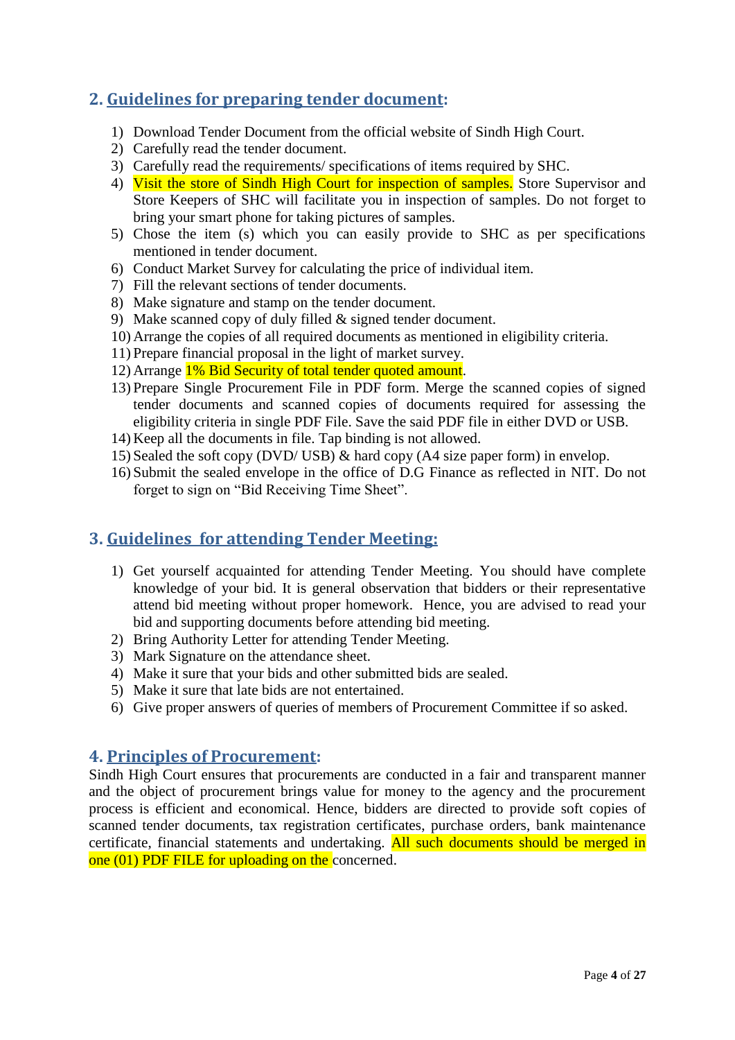# <span id="page-3-0"></span>**2. Guidelines for preparing tender document:**

- 1) Download Tender Document from the official website of Sindh High Court.
- 2) Carefully read the tender document.
- 3) Carefully read the requirements/ specifications of items required by SHC.
- 4) Visit the store of Sindh High Court for inspection of samples. Store Supervisor and Store Keepers of SHC will facilitate you in inspection of samples. Do not forget to bring your smart phone for taking pictures of samples.
- 5) Chose the item (s) which you can easily provide to SHC as per specifications mentioned in tender document.
- 6) Conduct Market Survey for calculating the price of individual item.
- 7) Fill the relevant sections of tender documents.
- 8) Make signature and stamp on the tender document.
- 9) Make scanned copy of duly filled & signed tender document.
- 10) Arrange the copies of all required documents as mentioned in eligibility criteria.
- 11) Prepare financial proposal in the light of market survey.
- 12) Arrange 1% Bid Security of total tender quoted amount.
- 13) Prepare Single Procurement File in PDF form. Merge the scanned copies of signed tender documents and scanned copies of documents required for assessing the eligibility criteria in single PDF File. Save the said PDF file in either DVD or USB.
- 14) Keep all the documents in file. Tap binding is not allowed.
- 15) Sealed the soft copy (DVD/ USB) & hard copy (A4 size paper form) in envelop.
- 16) Submit the sealed envelope in the office of D.G Finance as reflected in NIT. Do not forget to sign on "Bid Receiving Time Sheet".

# <span id="page-3-1"></span>**3. Guidelines for attending Tender Meeting:**

- 1) Get yourself acquainted for attending Tender Meeting. You should have complete knowledge of your bid. It is general observation that bidders or their representative attend bid meeting without proper homework. Hence, you are advised to read your bid and supporting documents before attending bid meeting.
- 2) Bring Authority Letter for attending Tender Meeting.
- 3) Mark Signature on the attendance sheet.
- 4) Make it sure that your bids and other submitted bids are sealed.
- 5) Make it sure that late bids are not entertained.
- <span id="page-3-2"></span>6) Give proper answers of queries of members of Procurement Committee if so asked.

## **4. Principles of Procurement:**

Sindh High Court ensures that procurements are conducted in a fair and transparent manner and the object of procurement brings value for money to the agency and the procurement process is efficient and economical. Hence, bidders are directed to provide soft copies of scanned tender documents, tax registration certificates, purchase orders, bank maintenance certificate, financial statements and undertaking. All such documents should be merged in one (01) PDF FILE for uploading on the concerned.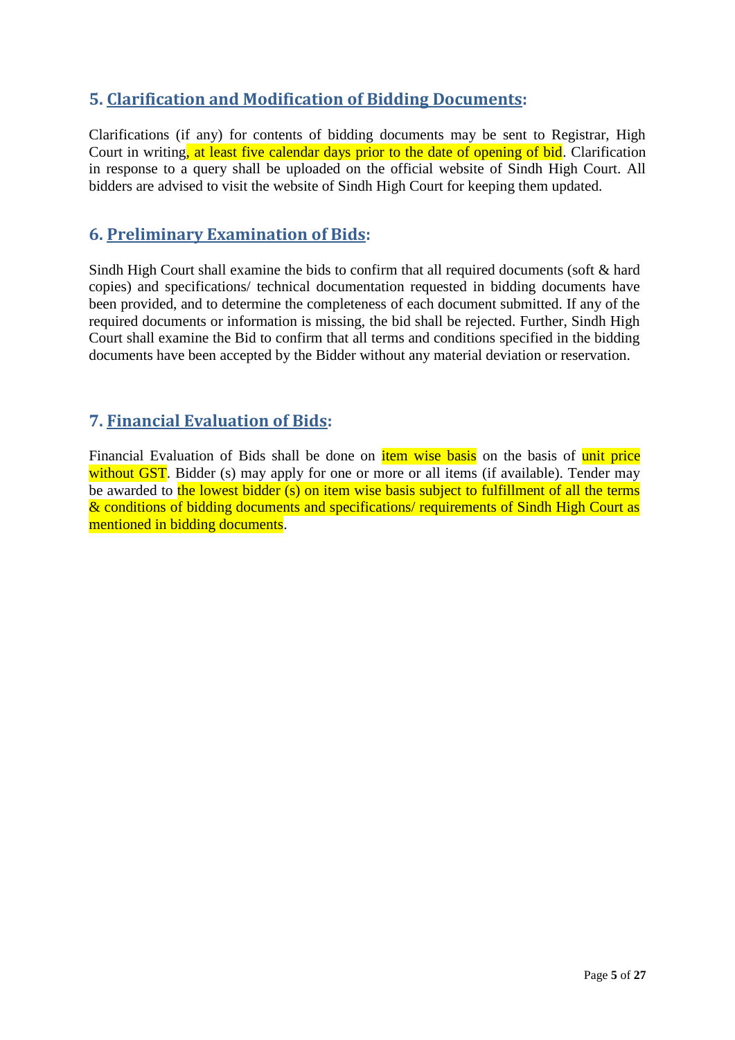# <span id="page-4-0"></span>**5. Clarification and Modification of Bidding Documents:**

Clarifications (if any) for contents of bidding documents may be sent to Registrar, High Court in writing, at least five calendar days prior to the date of opening of bid. Clarification in response to a query shall be uploaded on the official website of Sindh High Court. All bidders are advised to visit the website of Sindh High Court for keeping them updated.

## <span id="page-4-1"></span>**6. Preliminary Examination of Bids:**

Sindh High Court shall examine the bids to confirm that all required documents (soft & hard copies) and specifications/ technical documentation requested in bidding documents have been provided, and to determine the completeness of each document submitted. If any of the required documents or information is missing, the bid shall be rejected. Further, Sindh High Court shall examine the Bid to confirm that all terms and conditions specified in the bidding documents have been accepted by the Bidder without any material deviation or reservation.

# <span id="page-4-2"></span>**7. Financial Evaluation of Bids:**

Financial Evaluation of Bids shall be done on *item wise basis* on the basis of unit price without GST. Bidder (s) may apply for one or more or all items (if available). Tender may be awarded to the lowest bidder (s) on item wise basis subject to fulfillment of all the terms & conditions of bidding documents and specifications/ requirements of Sindh High Court as mentioned in bidding documents.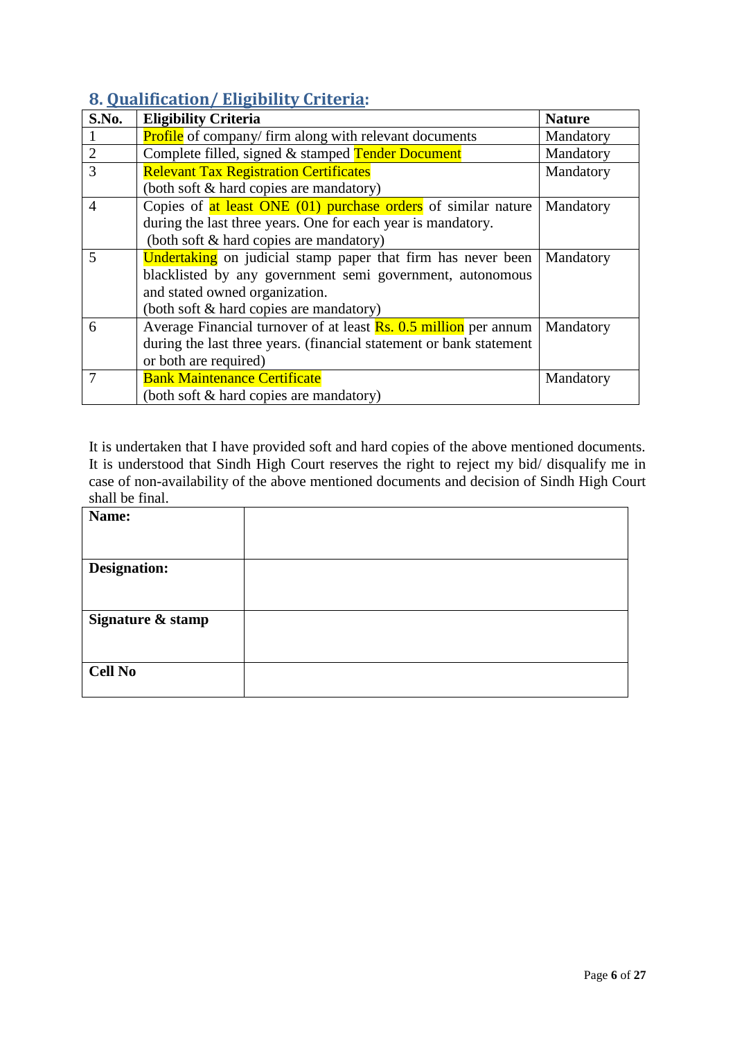# <span id="page-5-0"></span>**8. Qualification/ Eligibility Criteria:**

| S.No.          | <b>Eligibility Criteria</b>                                             | <b>Nature</b> |
|----------------|-------------------------------------------------------------------------|---------------|
|                | <b>Profile</b> of company/firm along with relevant documents            | Mandatory     |
| $\overline{2}$ | Complete filled, signed & stamped Tender Document                       | Mandatory     |
| 3              | <b>Relevant Tax Registration Certificates</b>                           | Mandatory     |
|                | (both soft & hard copies are mandatory)                                 |               |
| 4              | Copies of at least ONE (01) purchase orders of similar nature           | Mandatory     |
|                | during the last three years. One for each year is mandatory.            |               |
|                | (both soft & hard copies are mandatory)                                 |               |
| 5              | <b>Undertaking</b> on judicial stamp paper that firm has never been     | Mandatory     |
|                | blacklisted by any government semi government, autonomous               |               |
|                | and stated owned organization.                                          |               |
|                | (both soft & hard copies are mandatory)                                 |               |
| 6              | Average Financial turnover of at least <b>Rs. 0.5 million</b> per annum | Mandatory     |
|                | during the last three years. (financial statement or bank statement     |               |
|                | or both are required)                                                   |               |
|                | <b>Bank Maintenance Certificate</b>                                     | Mandatory     |
|                | (both soft & hard copies are mandatory)                                 |               |

It is undertaken that I have provided soft and hard copies of the above mentioned documents. It is understood that Sindh High Court reserves the right to reject my bid/ disqualify me in case of non-availability of the above mentioned documents and decision of Sindh High Court shall be final.

| Name:               |  |
|---------------------|--|
|                     |  |
|                     |  |
| <b>Designation:</b> |  |
|                     |  |
|                     |  |
| Signature & stamp   |  |
|                     |  |
|                     |  |
| <b>Cell No</b>      |  |
|                     |  |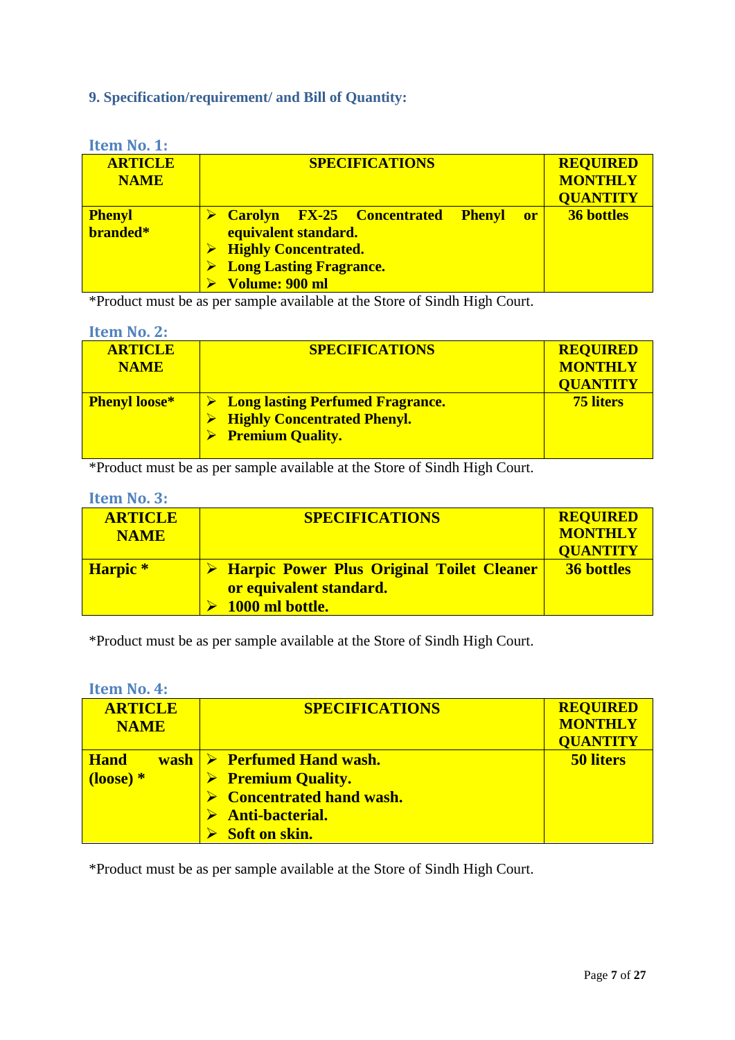## <span id="page-6-0"></span>**9. Specification/requirement/ and Bill of Quantity:**

<span id="page-6-1"></span>

| <b>Item No. 1:</b>            |                                                |                                   |
|-------------------------------|------------------------------------------------|-----------------------------------|
| <b>ARTICLE</b><br><b>NAME</b> | <b>SPECIFICATIONS</b>                          | <b>REQUIRED</b><br><b>MONTHLY</b> |
|                               |                                                | <b>QUANTITY</b>                   |
| <b>Phenyl</b>                 | Carolyn FX-25 Concentrated Phenyl<br><b>or</b> | <b>36 bottles</b>                 |
| branded*                      | equivalent standard.                           |                                   |
|                               | <b>Highly Concentrated.</b>                    |                                   |
|                               | <b>Long Lasting Fragrance.</b>                 |                                   |
|                               | Volume: 900 ml                                 |                                   |

\*Product must be as per sample available at the Store of Sindh High Court.

#### <span id="page-6-2"></span>**Item No. 2:**

| <b>ARTICLE</b><br><b>NAME</b> | <b>SPECIFICATIONS</b>                                                                                                        | <b>REQUIRED</b><br><b>MONTHLY</b><br><b>QUANTITY</b> |
|-------------------------------|------------------------------------------------------------------------------------------------------------------------------|------------------------------------------------------|
| <b>Phenyl loose*</b>          | $\triangleright$ Long lasting Perfumed Fragrance.<br><b>Highly Concentrated Phenyl.</b><br>$\triangleright$ Premium Quality. | <b>75 liters</b>                                     |

\*Product must be as per sample available at the Store of Sindh High Court.

#### <span id="page-6-3"></span>**Item No. 3:**

| <b>ARTICLE</b>  | <b>SPECIFICATIONS</b>                       | <b>REQUIRED</b>   |
|-----------------|---------------------------------------------|-------------------|
| <b>NAME</b>     |                                             | <b>MONTHLY</b>    |
|                 |                                             | <b>QUANTITY</b>   |
| <b>Harpic</b> * | > Harpic Power Plus Original Toilet Cleaner | <b>36 bottles</b> |
|                 | or equivalent standard.                     |                   |
|                 | $\triangleright$ 1000 ml bottle.            |                   |

\*Product must be as per sample available at the Store of Sindh High Court.

#### <span id="page-6-4"></span>**Item No. 4:**

| <b>ARTICLE</b> | <b>SPECIFICATIONS</b>                                     | <b>REQUIRED</b>  |
|----------------|-----------------------------------------------------------|------------------|
| <b>NAME</b>    |                                                           | <b>MONTHLY</b>   |
|                |                                                           | <b>QUANTITY</b>  |
| <b>Hand</b>    | $\left \mathbf{wash}\right \geqslant$ Perfumed Hand wash. | <b>50 liters</b> |
| $(loose) *$    | $\triangleright$ Premium Quality.                         |                  |
|                | $\triangleright$ Concentrated hand wash.                  |                  |
|                | $\triangleright$ Anti-bacterial.                          |                  |
|                | Soft on skin.                                             |                  |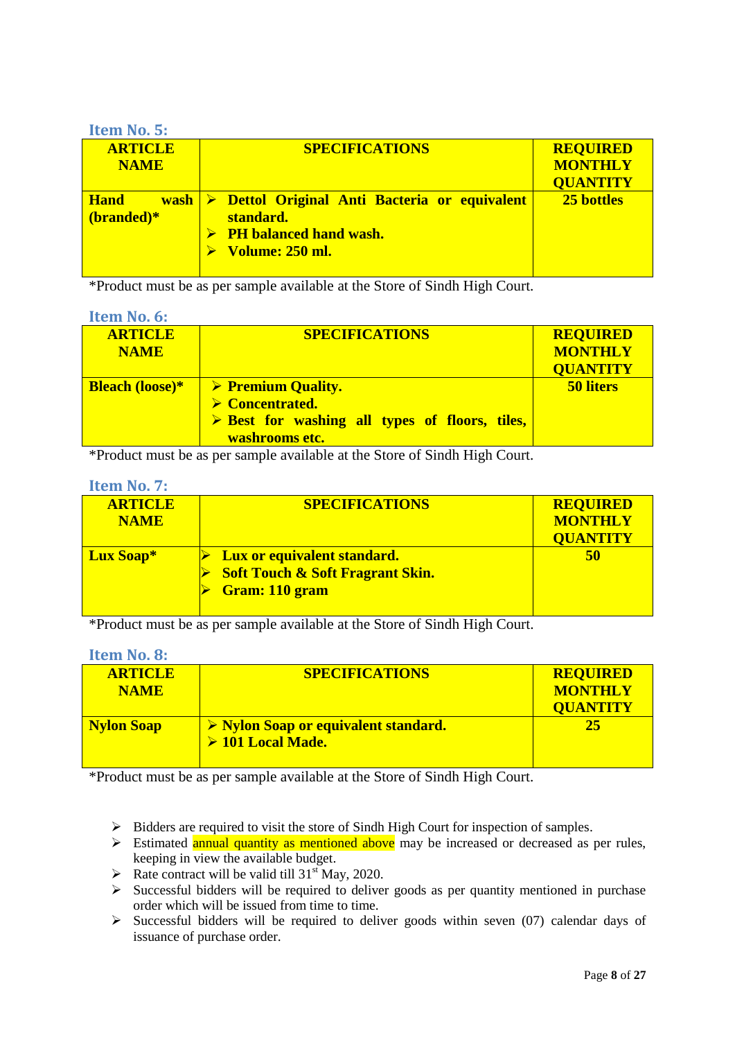#### <span id="page-7-0"></span>**Item No. 5:**

| <b>ARTICLE</b> | <b>SPECIFICATIONS</b>                                              | <b>REQUIRED</b> |
|----------------|--------------------------------------------------------------------|-----------------|
| <b>NAME</b>    |                                                                    | <b>MONTHLY</b>  |
|                |                                                                    | <b>QUANTITY</b> |
| <b>Hand</b>    | $\vert \triangleright$ Dettol Original Anti Bacteria or equivalent | 25 bottles      |
| (branded)*     | standard.                                                          |                 |
|                | $\triangleright$ PH balanced hand wash.                            |                 |
|                | Volume: 250 ml.                                                    |                 |
|                |                                                                    |                 |

\*Product must be as per sample available at the Store of Sindh High Court.

#### <span id="page-7-1"></span>**Item No. 6:**

| <b>ARTICLE</b><br><b>NAME</b> | <b>SPECIFICATIONS</b>                                                                                                                                  | <b>REQUIRED</b><br><b>MONTHLY</b><br><b>QUANTITY</b> |
|-------------------------------|--------------------------------------------------------------------------------------------------------------------------------------------------------|------------------------------------------------------|
| <b>Bleach (loose)*</b>        | $\triangleright$ Premium Quality.<br>$\triangleright$ Concentrated.<br>$\triangleright$ Best for washing all types of floors, tiles,<br>washrooms etc. | <b>50 liters</b>                                     |

\*Product must be as per sample available at the Store of Sindh High Court.

#### <span id="page-7-2"></span>**Item No. 7:**

| <b>ARTICLE</b><br><b>NAME</b> | <b>SPECIFICATIONS</b>                                                                                      | <b>REQUIRED</b><br><b>MONTHLY</b><br><b>QUANTITY</b> |
|-------------------------------|------------------------------------------------------------------------------------------------------------|------------------------------------------------------|
| <b>Lux Soap*</b>              | <b>Lux or equivalent standard.</b><br><b>Soft Touch &amp; Soft Fragrant Skin.</b><br><b>Gram: 110 gram</b> | 50                                                   |

\*Product must be as per sample available at the Store of Sindh High Court.

<span id="page-7-3"></span>**Item No. 8:**

| <b>ARTICLE</b><br><b>NAME</b> | <b>SPECIFICATIONS</b>                                                         | <b>REQUIRED</b><br><b>MONTHLY</b><br><b>OUANTITY</b> |
|-------------------------------|-------------------------------------------------------------------------------|------------------------------------------------------|
| <b>Nylon Soap</b>             | $\triangleright$ Nylon Soap or equivalent standard.<br>$\geq 101$ Local Made. | 25                                                   |

- $\triangleright$  Bidders are required to visit the store of Sindh High Court for inspection of samples.
- $\triangleright$  Estimated annual quantity as mentioned above may be increased or decreased as per rules, keeping in view the available budget.
- Rate contract will be valid till  $31<sup>st</sup>$  May, 2020.
- $\triangleright$  Successful bidders will be required to deliver goods as per quantity mentioned in purchase order which will be issued from time to time.
- $\geq$  Successful bidders will be required to deliver goods within seven (07) calendar days of issuance of purchase order.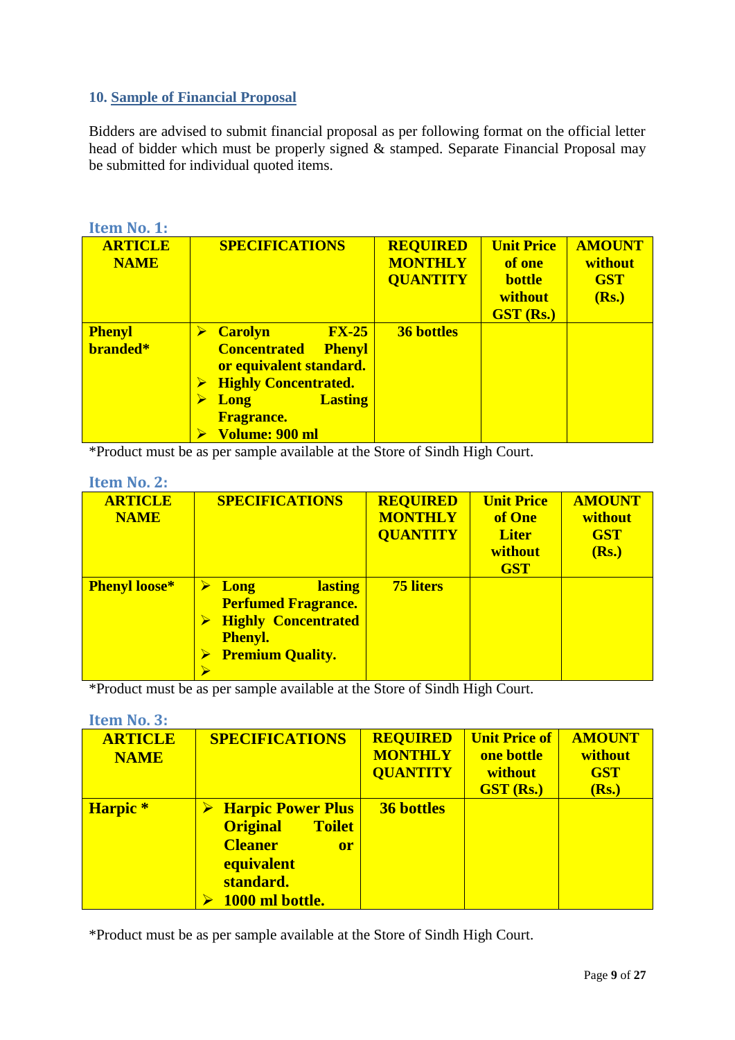## <span id="page-8-0"></span>**10. Sample of Financial Proposal**

Bidders are advised to submit financial proposal as per following format on the official letter head of bidder which must be properly signed & stamped. Separate Financial Proposal may be submitted for individual quoted items.

<span id="page-8-1"></span>

| Item No. 1:                   |                                                                                                                                                                                                               |                                                      |                                                                             |                                                 |
|-------------------------------|---------------------------------------------------------------------------------------------------------------------------------------------------------------------------------------------------------------|------------------------------------------------------|-----------------------------------------------------------------------------|-------------------------------------------------|
| <b>ARTICLE</b><br><b>NAME</b> | <b>SPECIFICATIONS</b>                                                                                                                                                                                         | <b>REQUIRED</b><br><b>MONTHLY</b><br><b>QUANTITY</b> | <b>Unit Price</b><br>of one<br><b>bottle</b><br>without<br><b>GST (Rs.)</b> | <b>AMOUNT</b><br>without<br><b>GST</b><br>(Rs.) |
| <b>Phenyl</b><br>branded*     | <b>FX-25</b><br><b>Carolyn</b><br>➤<br><b>Concentrated</b><br><b>Phenyl</b><br>or equivalent standard.<br><b>Highly Concentrated.</b><br><b>Lasting</b><br><b>Long</b><br><b>Fragrance.</b><br>Volume: 900 ml | <b>36 bottles</b>                                    |                                                                             |                                                 |

\*Product must be as per sample available at the Store of Sindh High Court.

<span id="page-8-2"></span>

| Item No. 2: |  |
|-------------|--|
|             |  |

| <b>ARTICLE</b><br><b>NAME</b> | <b>SPECIFICATIONS</b>                                                                                                                  | <b>REQUIRED</b><br><b>MONTHLY</b><br><b>QUANTITY</b> | <b>Unit Price</b><br>of One<br><b>Liter</b><br>without<br><b>GST</b> | <b>AMOUNT</b><br>without<br><b>GST</b><br>(Rs.) |
|-------------------------------|----------------------------------------------------------------------------------------------------------------------------------------|------------------------------------------------------|----------------------------------------------------------------------|-------------------------------------------------|
| <b>Phenyl loose*</b>          | <b>lasting</b><br><b>Long</b><br><b>Perfumed Fragrance.</b><br><b>Highly Concentrated</b><br><b>Phenyl.</b><br><b>Premium Quality.</b> | <b>75 liters</b>                                     |                                                                      |                                                 |

\*Product must be as per sample available at the Store of Sindh High Court.

#### <span id="page-8-3"></span>**Item No. 3:**

| <b>ARTICLE</b><br><b>NAME</b> | <b>SPECIFICATIONS</b>                                                                                                                     | <b>REQUIRED</b><br><b>MONTHLY</b><br><b>QUANTITY</b> | <b>Unit Price of</b><br>one bottle<br>without<br><b>GST (Rs.)</b> | <b>AMOUNT</b><br>without<br><b>GST</b><br>(Rs.) |
|-------------------------------|-------------------------------------------------------------------------------------------------------------------------------------------|------------------------------------------------------|-------------------------------------------------------------------|-------------------------------------------------|
| Harpic <sup>*</sup>           | <b>Harpic Power Plus</b><br><b>Original</b><br><b>Toilet</b><br><b>Cleaner</b><br>or<br><b>equivalent</b><br>standard.<br>1000 ml bottle. | <b>36 bottles</b>                                    |                                                                   |                                                 |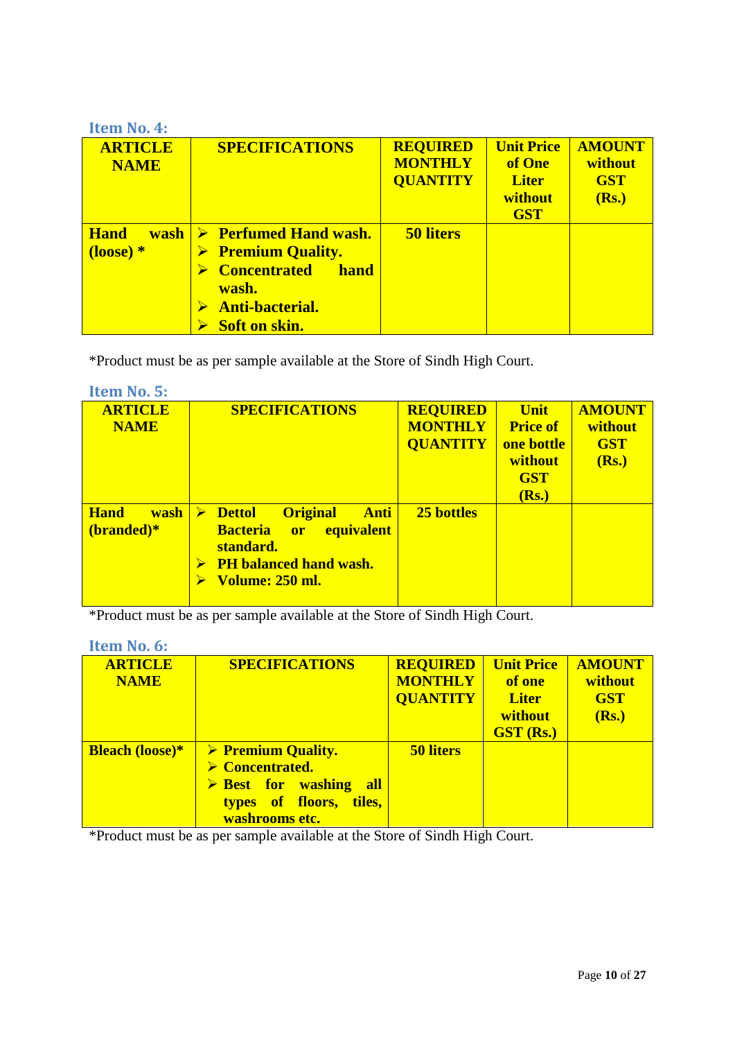<span id="page-9-0"></span>

| <b>Item No. 4:</b>                                      |                                                                                                                                                                     |                                                      |                                                                      |                                                 |
|---------------------------------------------------------|---------------------------------------------------------------------------------------------------------------------------------------------------------------------|------------------------------------------------------|----------------------------------------------------------------------|-------------------------------------------------|
| <b>ARTICLE</b><br><b>NAME</b>                           | <b>SPECIFICATIONS</b>                                                                                                                                               | <b>REQUIRED</b><br><b>MONTHLY</b><br><b>QUANTITY</b> | <b>Unit Price</b><br>of One<br><b>Liter</b><br>without<br><b>GST</b> | <b>AMOUNT</b><br>without<br><b>GST</b><br>(Rs.) |
| <b>Hand</b><br><b>wash</b><br>$\frac{1}{2}$ (loose) $*$ | $\triangleright$ Perfumed Hand wash.<br>$\triangleright$ Premium Quality.<br><b>Concentrated</b><br>hand<br>wash.<br><b>Anti-bacterial.</b><br><b>Soft on skin.</b> | <b>50 liters</b>                                     |                                                                      |                                                 |

\*Product must be as per sample available at the Store of Sindh High Court.

<span id="page-9-1"></span>

| <b>Item No. 5:</b>                         |                                                                                                                                                                                             |                                                      |                                                                                |                                                 |
|--------------------------------------------|---------------------------------------------------------------------------------------------------------------------------------------------------------------------------------------------|------------------------------------------------------|--------------------------------------------------------------------------------|-------------------------------------------------|
| <b>ARTICLE</b><br><b>NAME</b>              | <b>SPECIFICATIONS</b>                                                                                                                                                                       | <b>REQUIRED</b><br><b>MONTHLY</b><br><b>QUANTITY</b> | <b>Unit</b><br><b>Price of</b><br>one bottle<br>without<br><b>GST</b><br>(Rs.) | <b>AMOUNT</b><br>without<br><b>GST</b><br>(Rs.) |
| <b>Hand</b><br><b>wash</b><br>$(branded)*$ | $\triangleright$ Dettol<br><b>Original</b><br><b>Anti</b><br><b>Bacteria</b><br><b>equivalent</b><br><b>details</b><br>standard.<br><b>PH</b> balanced hand wash.<br><b>Volume: 250 ml.</b> | 25 bottles                                           |                                                                                |                                                 |

\*Product must be as per sample available at the Store of Sindh High Court.

<span id="page-9-2"></span>

| Item No. 6:                   |                                                                                                                                                              |                                                      |                                                                            |                                                 |
|-------------------------------|--------------------------------------------------------------------------------------------------------------------------------------------------------------|------------------------------------------------------|----------------------------------------------------------------------------|-------------------------------------------------|
| <b>ARTICLE</b><br><b>NAME</b> | <b>SPECIFICATIONS</b>                                                                                                                                        | <b>REQUIRED</b><br><b>MONTHLY</b><br><b>QUANTITY</b> | <b>Unit Price</b><br>of one<br><b>Liter</b><br>without<br><b>GST (Rs.)</b> | <b>AMOUNT</b><br>without<br><b>GST</b><br>(Rs.) |
| <b>Bleach (loose)*</b>        | $\triangleright$ Premium Quality.<br>$\triangleright$ Concentrated.<br>$\triangleright$ Best for washing<br>all<br>types of floors, tiles,<br>washrooms etc. | <b>50 liters</b>                                     |                                                                            |                                                 |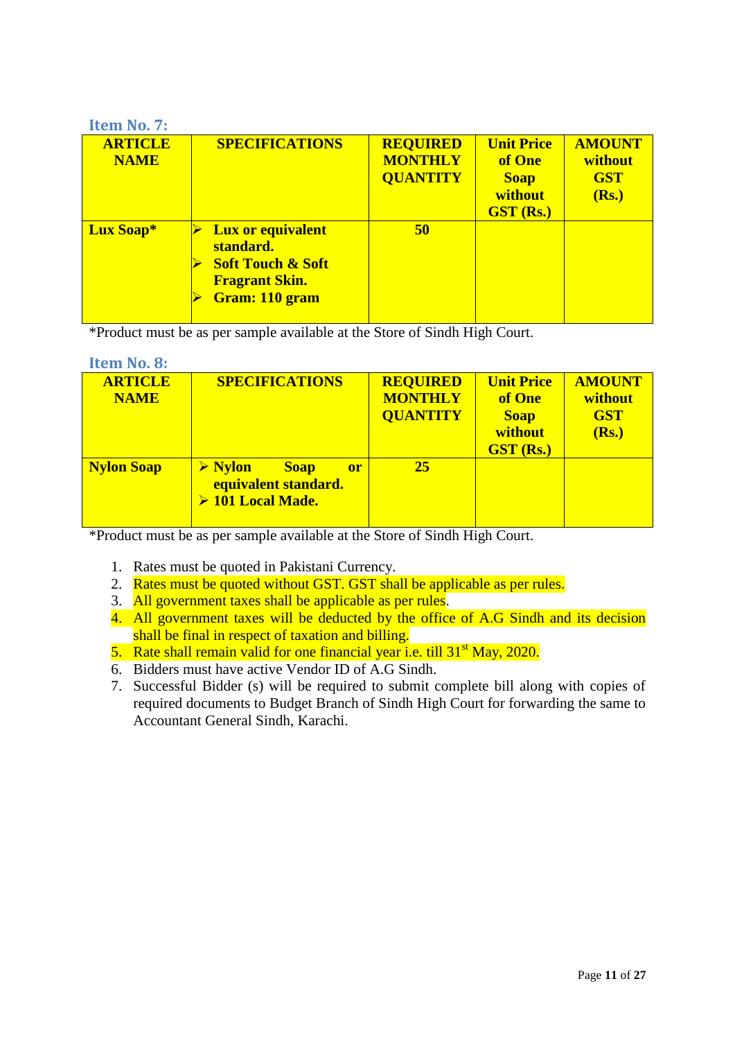## <span id="page-10-0"></span>**Item No. 7:**

| <b>ARTICLE</b><br><b>NAME</b> | <b>SPECIFICATIONS</b>                                                                                            | <b>REQUIRED</b><br><b>MONTHLY</b><br><b>QUANTITY</b> | <b>Unit Price</b><br>of One<br><b>Soap</b><br>without<br><b>GST (Rs.)</b> | <b>AMOUNT</b><br>without<br><b>GST</b><br>(Rs.) |
|-------------------------------|------------------------------------------------------------------------------------------------------------------|------------------------------------------------------|---------------------------------------------------------------------------|-------------------------------------------------|
| Lux Soap*                     | <b>Lux or equivalent</b><br>standard.<br><b>Soft Touch &amp; Soft</b><br><b>Fragrant Skin.</b><br>Gram: 110 gram | 50                                                   |                                                                           |                                                 |

\*Product must be as per sample available at the Store of Sindh High Court.

<span id="page-10-1"></span>

| <b>Item No. 8:</b>            |                                                                                                          |                                                      |                                                                           |                                                 |
|-------------------------------|----------------------------------------------------------------------------------------------------------|------------------------------------------------------|---------------------------------------------------------------------------|-------------------------------------------------|
| <b>ARTICLE</b><br><b>NAME</b> | <b>SPECIFICATIONS</b>                                                                                    | <b>REQUIRED</b><br><b>MONTHLY</b><br><b>QUANTITY</b> | <b>Unit Price</b><br>of One<br><b>Soap</b><br>without<br><b>GST (Rs.)</b> | <b>AMOUNT</b><br>without<br><b>GST</b><br>(Rs.) |
| <b>Nylon Soap</b>             | $\triangleright$ Nylon<br><b>Soap</b><br><sub>or</sub><br>equivalent standard.<br>$\geq 101$ Local Made. | <b>25</b>                                            |                                                                           |                                                 |

- 1. Rates must be quoted in Pakistani Currency.
- 2. Rates must be quoted without GST. GST shall be applicable as per rules.
- 3. All government taxes shall be applicable as per rules.
- 4. All government taxes will be deducted by the office of A.G Sindh and its decision shall be final in respect of taxation and billing.
- 5. Rate shall remain valid for one financial year i.e. till 31<sup>st</sup> May, 2020.
- 6. Bidders must have active Vendor ID of A.G Sindh.
- 7. Successful Bidder (s) will be required to submit complete bill along with copies of required documents to Budget Branch of Sindh High Court for forwarding the same to Accountant General Sindh, Karachi.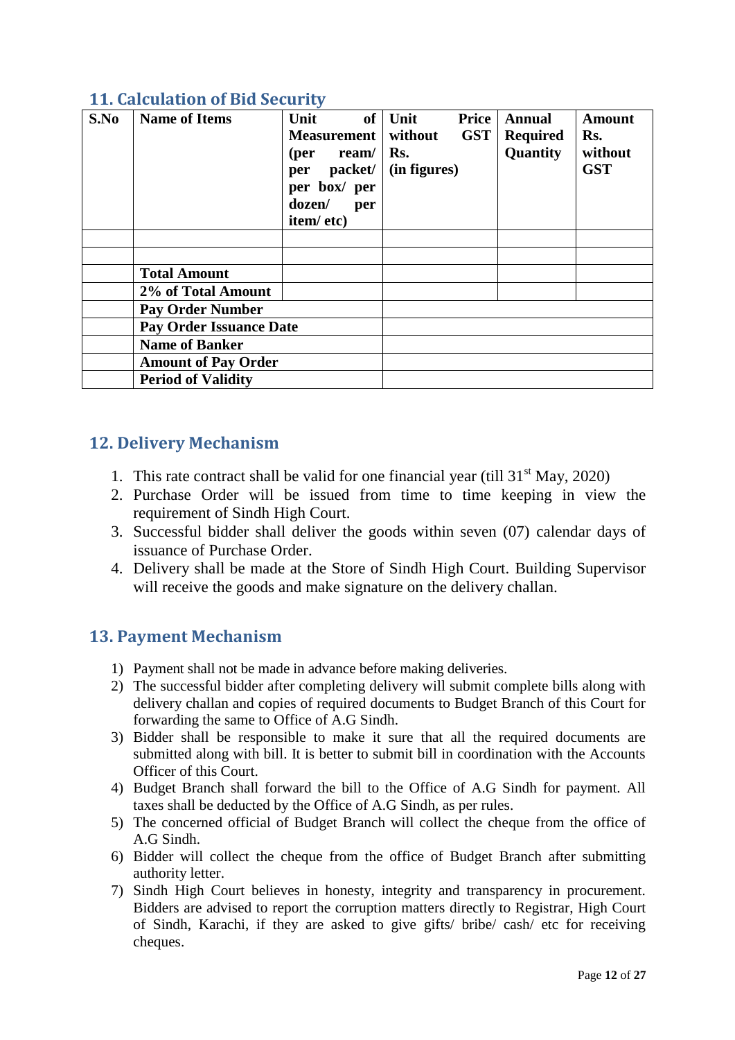| S.No | <b>Name of Items</b>           | of<br>Unit<br><b>Measurement</b><br>$(\text{per} \quad \text{ream}/ )$<br>per packet/<br>per box/ per<br>dozen/<br>per<br>item/etc) | Unit<br>without<br>Rs.<br>(in figures) | Price<br><b>GST</b> | <b>Annual</b><br><b>Required</b><br>Quantity | <b>Amount</b><br>Rs.<br>without<br><b>GST</b> |
|------|--------------------------------|-------------------------------------------------------------------------------------------------------------------------------------|----------------------------------------|---------------------|----------------------------------------------|-----------------------------------------------|
|      | <b>Total Amount</b>            |                                                                                                                                     |                                        |                     |                                              |                                               |
|      | 2% of Total Amount             |                                                                                                                                     |                                        |                     |                                              |                                               |
|      | <b>Pay Order Number</b>        |                                                                                                                                     |                                        |                     |                                              |                                               |
|      | <b>Pay Order Issuance Date</b> |                                                                                                                                     |                                        |                     |                                              |                                               |
|      | <b>Name of Banker</b>          |                                                                                                                                     |                                        |                     |                                              |                                               |
|      | <b>Amount of Pay Order</b>     |                                                                                                                                     |                                        |                     |                                              |                                               |
|      | <b>Period of Validity</b>      |                                                                                                                                     |                                        |                     |                                              |                                               |

# <span id="page-11-0"></span>**11. Calculation of Bid Security**

# <span id="page-11-1"></span>**12. Delivery Mechanism**

- 1. This rate contract shall be valid for one financial year (till  $31<sup>st</sup>$  May, 2020)
- 2. Purchase Order will be issued from time to time keeping in view the requirement of Sindh High Court.
- 3. Successful bidder shall deliver the goods within seven (07) calendar days of issuance of Purchase Order.
- 4. Delivery shall be made at the Store of Sindh High Court. Building Supervisor will receive the goods and make signature on the delivery challan.

# <span id="page-11-2"></span>**13. Payment Mechanism**

- 1) Payment shall not be made in advance before making deliveries.
- 2) The successful bidder after completing delivery will submit complete bills along with delivery challan and copies of required documents to Budget Branch of this Court for forwarding the same to Office of A.G Sindh.
- 3) Bidder shall be responsible to make it sure that all the required documents are submitted along with bill. It is better to submit bill in coordination with the Accounts Officer of this Court.
- 4) Budget Branch shall forward the bill to the Office of A.G Sindh for payment. All taxes shall be deducted by the Office of A.G Sindh, as per rules.
- 5) The concerned official of Budget Branch will collect the cheque from the office of A.G Sindh.
- 6) Bidder will collect the cheque from the office of Budget Branch after submitting authority letter.
- 7) Sindh High Court believes in honesty, integrity and transparency in procurement. Bidders are advised to report the corruption matters directly to Registrar, High Court of Sindh, Karachi, if they are asked to give gifts/ bribe/ cash/ etc for receiving cheques.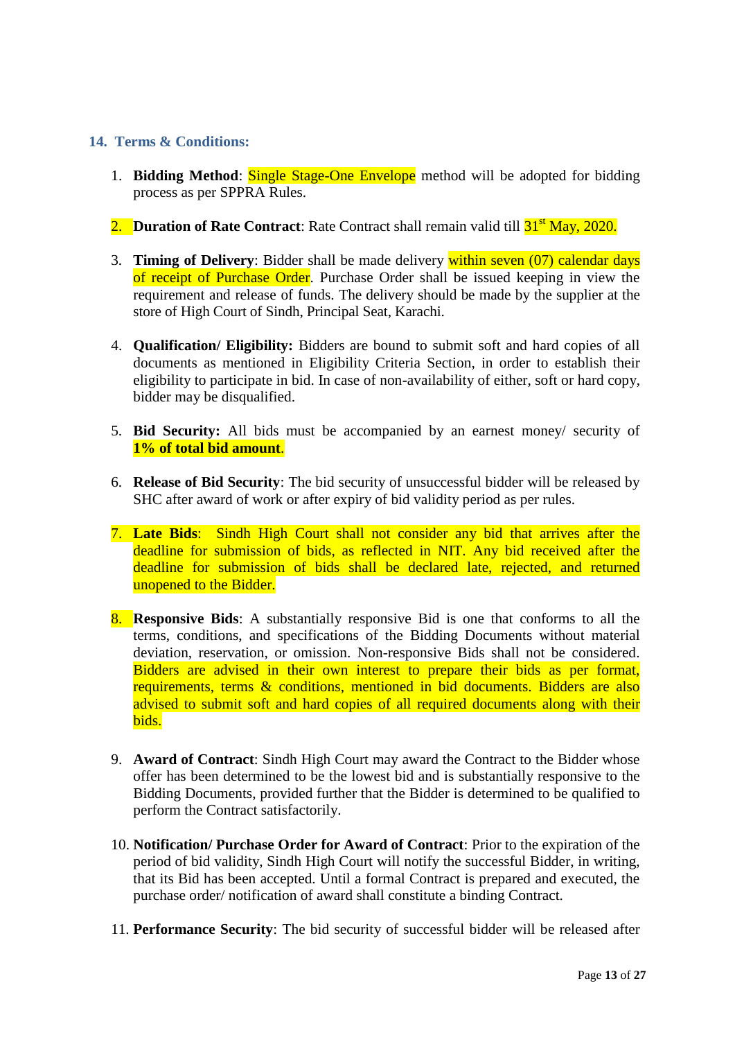#### <span id="page-12-0"></span>**14. Terms & Conditions:**

- 1. **Bidding Method**: **Single Stage-One Envelope** method will be adopted for bidding process as per SPPRA Rules.
- 2. **Duration of Rate Contract**: Rate Contract shall remain valid till  $31<sup>st</sup>$  May, 2020.
- 3. **Timing of Delivery**: Bidder shall be made delivery within seven (07) calendar days of receipt of Purchase Order. Purchase Order shall be issued keeping in view the requirement and release of funds. The delivery should be made by the supplier at the store of High Court of Sindh, Principal Seat, Karachi.
- 4. **Qualification/ Eligibility:** Bidders are bound to submit soft and hard copies of all documents as mentioned in Eligibility Criteria Section, in order to establish their eligibility to participate in bid. In case of non-availability of either, soft or hard copy, bidder may be disqualified.
- 5. **Bid Security:** All bids must be accompanied by an earnest money/ security of **1% of total bid amount**.
- 6. **Release of Bid Security**: The bid security of unsuccessful bidder will be released by SHC after award of work or after expiry of bid validity period as per rules.
- 7. **Late Bids**: Sindh High Court shall not consider any bid that arrives after the deadline for submission of bids, as reflected in NIT. Any bid received after the deadline for submission of bids shall be declared late, rejected, and returned unopened to the Bidder.
- 8. **Responsive Bids**: A substantially responsive Bid is one that conforms to all the terms, conditions, and specifications of the Bidding Documents without material deviation, reservation, or omission. Non-responsive Bids shall not be considered. Bidders are advised in their own interest to prepare their bids as per format, requirements, terms & conditions, mentioned in bid documents. Bidders are also advised to submit soft and hard copies of all required documents along with their bids.
- 9. **Award of Contract**: Sindh High Court may award the Contract to the Bidder whose offer has been determined to be the lowest bid and is substantially responsive to the Bidding Documents, provided further that the Bidder is determined to be qualified to perform the Contract satisfactorily.
- 10. **Notification/ Purchase Order for Award of Contract**: Prior to the expiration of the period of bid validity, Sindh High Court will notify the successful Bidder, in writing, that its Bid has been accepted. Until a formal Contract is prepared and executed, the purchase order/ notification of award shall constitute a binding Contract.
- 11. **Performance Security**: The bid security of successful bidder will be released after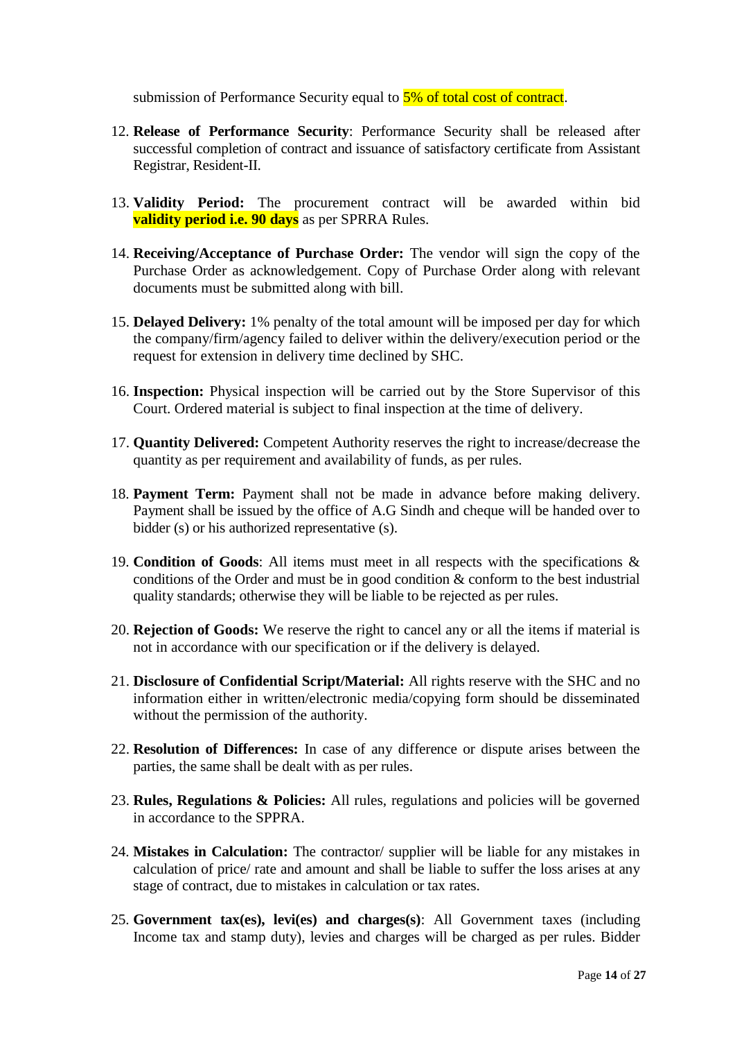submission of Performance Security equal to  $5\%$  of total cost of contract.

- 12. **Release of Performance Security**: Performance Security shall be released after successful completion of contract and issuance of satisfactory certificate from Assistant Registrar, Resident-II.
- 13. **Validity Period:** The procurement contract will be awarded within bid **validity period i.e. 90 days** as per SPRRA Rules.
- 14. **Receiving/Acceptance of Purchase Order:** The vendor will sign the copy of the Purchase Order as acknowledgement. Copy of Purchase Order along with relevant documents must be submitted along with bill.
- 15. **Delayed Delivery:** 1% penalty of the total amount will be imposed per day for which the company/firm/agency failed to deliver within the delivery/execution period or the request for extension in delivery time declined by SHC.
- 16. **Inspection:** Physical inspection will be carried out by the Store Supervisor of this Court. Ordered material is subject to final inspection at the time of delivery.
- 17. **Quantity Delivered:** Competent Authority reserves the right to increase/decrease the quantity as per requirement and availability of funds, as per rules.
- 18. **Payment Term:** Payment shall not be made in advance before making delivery. Payment shall be issued by the office of A.G Sindh and cheque will be handed over to bidder (s) or his authorized representative (s).
- 19. **Condition of Goods**: All items must meet in all respects with the specifications & conditions of the Order and must be in good condition & conform to the best industrial quality standards; otherwise they will be liable to be rejected as per rules.
- 20. **Rejection of Goods:** We reserve the right to cancel any or all the items if material is not in accordance with our specification or if the delivery is delayed.
- 21. **Disclosure of Confidential Script/Material:** All rights reserve with the SHC and no information either in written/electronic media/copying form should be disseminated without the permission of the authority.
- 22. **Resolution of Differences:** In case of any difference or dispute arises between the parties, the same shall be dealt with as per rules.
- 23. **Rules, Regulations & Policies:** All rules, regulations and policies will be governed in accordance to the SPPRA.
- 24. **Mistakes in Calculation:** The contractor/ supplier will be liable for any mistakes in calculation of price/ rate and amount and shall be liable to suffer the loss arises at any stage of contract, due to mistakes in calculation or tax rates.
- 25. **Government tax(es), levi(es) and charges(s)**: All Government taxes (including Income tax and stamp duty), levies and charges will be charged as per rules. Bidder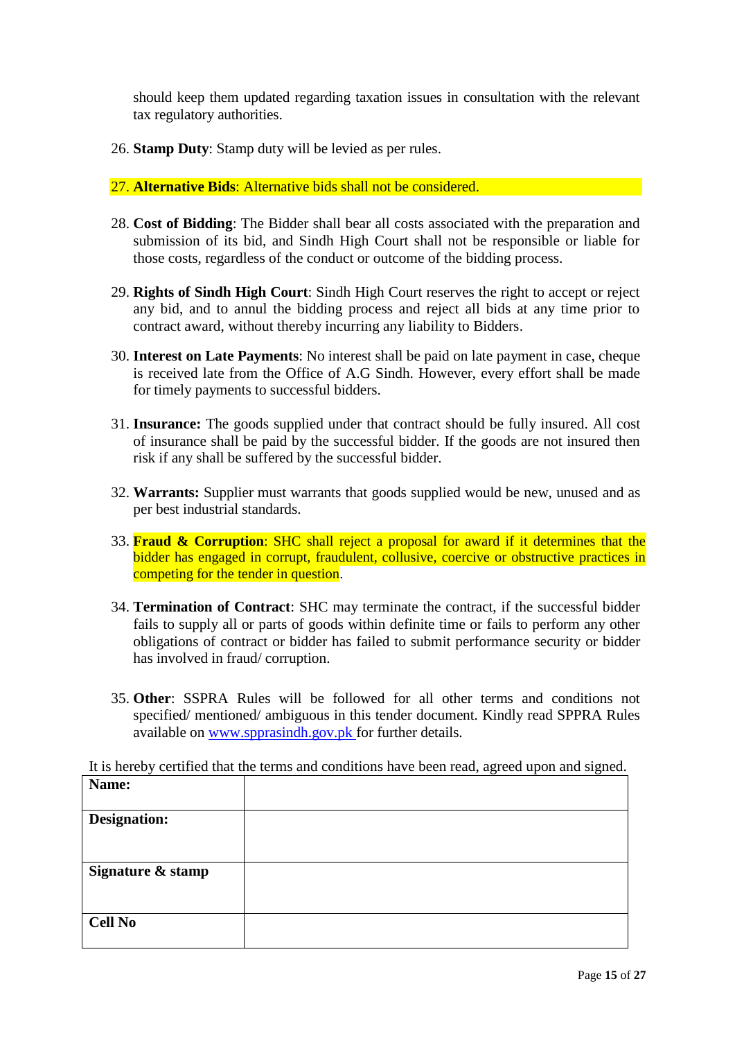should keep them updated regarding taxation issues in consultation with the relevant tax regulatory authorities.

26. **Stamp Duty**: Stamp duty will be levied as per rules.

#### 27. **Alternative Bids**: Alternative bids shall not be considered.

- 28. **Cost of Bidding**: The Bidder shall bear all costs associated with the preparation and submission of its bid, and Sindh High Court shall not be responsible or liable for those costs, regardless of the conduct or outcome of the bidding process.
- 29. **Rights of Sindh High Court**: Sindh High Court reserves the right to accept or reject any bid, and to annul the bidding process and reject all bids at any time prior to contract award, without thereby incurring any liability to Bidders.
- 30. **Interest on Late Payments**: No interest shall be paid on late payment in case, cheque is received late from the Office of A.G Sindh. However, every effort shall be made for timely payments to successful bidders.
- 31. **Insurance:** The goods supplied under that contract should be fully insured. All cost of insurance shall be paid by the successful bidder. If the goods are not insured then risk if any shall be suffered by the successful bidder.
- 32. **Warrants:** Supplier must warrants that goods supplied would be new, unused and as per best industrial standards.
- 33. **Fraud & Corruption**: SHC shall reject a proposal for award if it determines that the bidder has engaged in corrupt, fraudulent, collusive, coercive or obstructive practices in competing for the tender in question.
- 34. **Termination of Contract**: SHC may terminate the contract, if the successful bidder fails to supply all or parts of goods within definite time or fails to perform any other obligations of contract or bidder has failed to submit performance security or bidder has involved in fraud/ corruption.
- 35. **Other**: SSPRA Rules will be followed for all other terms and conditions not specified/ mentioned/ ambiguous in this tender document. Kindly read SPPRA Rules available on [www.spprasindh.gov.pk](http://www.spprasindh.gov.pk/) for further details.

It is hereby certified that the terms and conditions have been read, agreed upon and signed.

| Name:               |  |
|---------------------|--|
| <b>Designation:</b> |  |
| Signature & stamp   |  |
| <b>Cell No</b>      |  |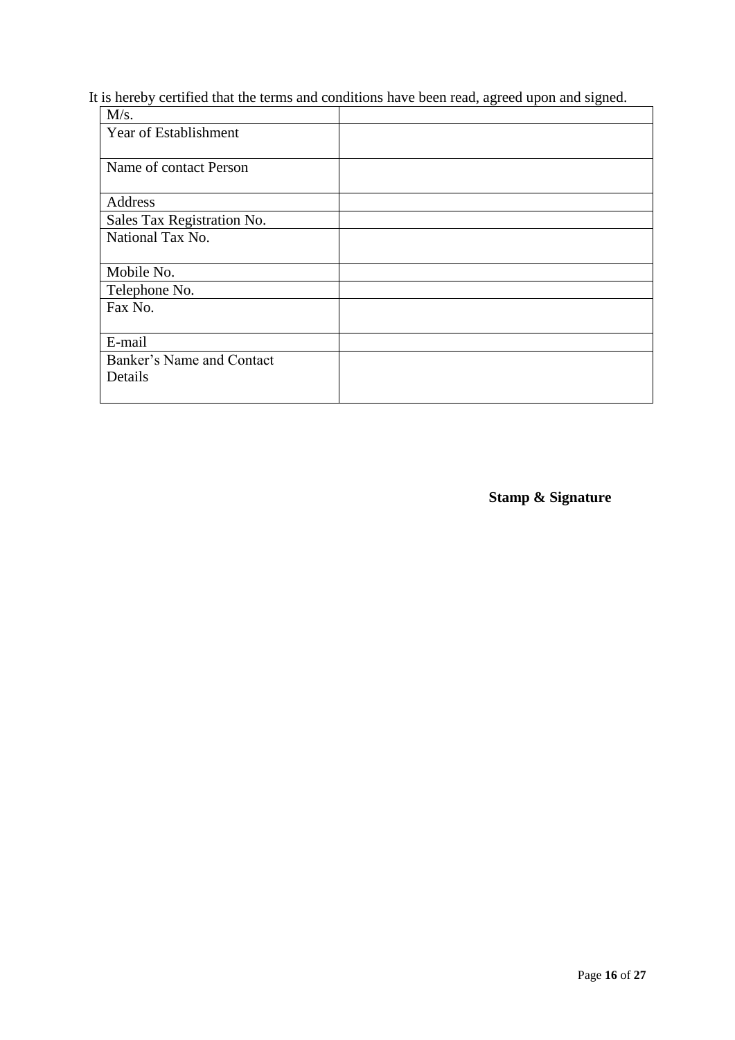# It is hereby certified that the terms and conditions have been read, agreed upon and signed.

| M/s.                         |  |
|------------------------------|--|
| <b>Year of Establishment</b> |  |
| Name of contact Person       |  |
| Address                      |  |
| Sales Tax Registration No.   |  |
| National Tax No.             |  |
| Mobile No.                   |  |
| Telephone No.                |  |
| Fax No.                      |  |
| E-mail                       |  |
| Banker's Name and Contact    |  |
| Details                      |  |

**Stamp & Signature**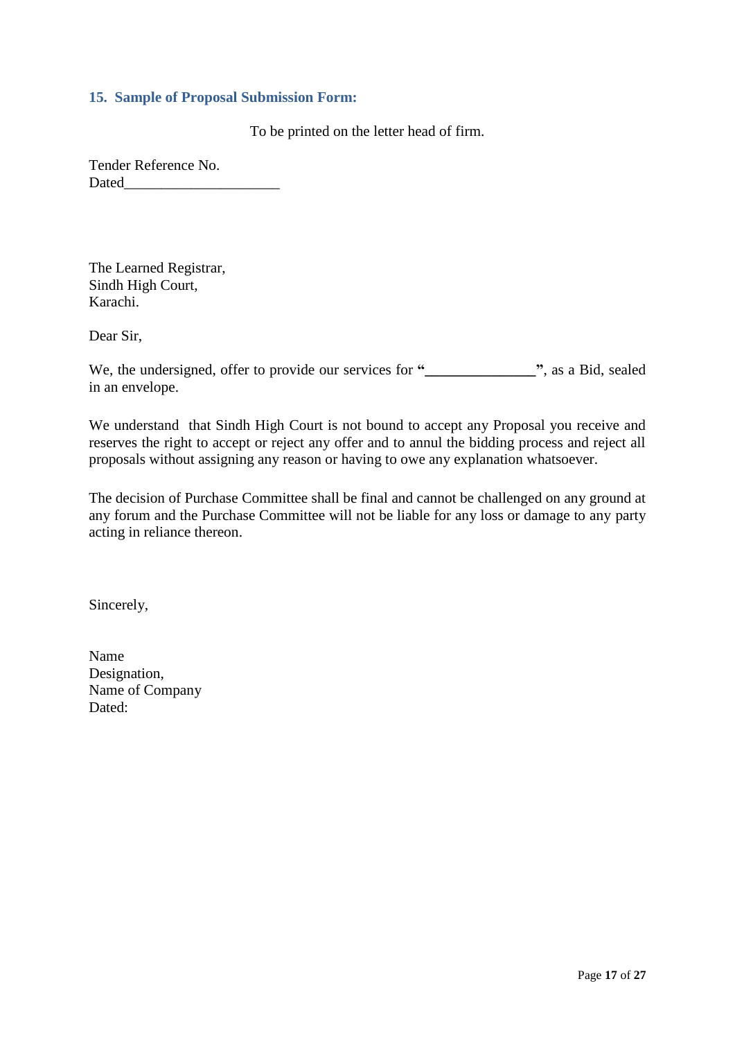#### <span id="page-16-0"></span>**15. Sample of Proposal Submission Form:**

To be printed on the letter head of firm.

Tender Reference No. Dated

The Learned Registrar, Sindh High Court, Karachi.

Dear Sir,

We, the undersigned, offer to provide our services for **"\_\_\_\_\_\_\_\_\_\_\_\_\_\_\_"**, as a Bid, sealed in an envelope.

We understand that Sindh High Court is not bound to accept any Proposal you receive and reserves the right to accept or reject any offer and to annul the bidding process and reject all proposals without assigning any reason or having to owe any explanation whatsoever.

The decision of Purchase Committee shall be final and cannot be challenged on any ground at any forum and the Purchase Committee will not be liable for any loss or damage to any party acting in reliance thereon.

Sincerely,

| Name            |
|-----------------|
| Designation,    |
| Name of Company |
| Dated:          |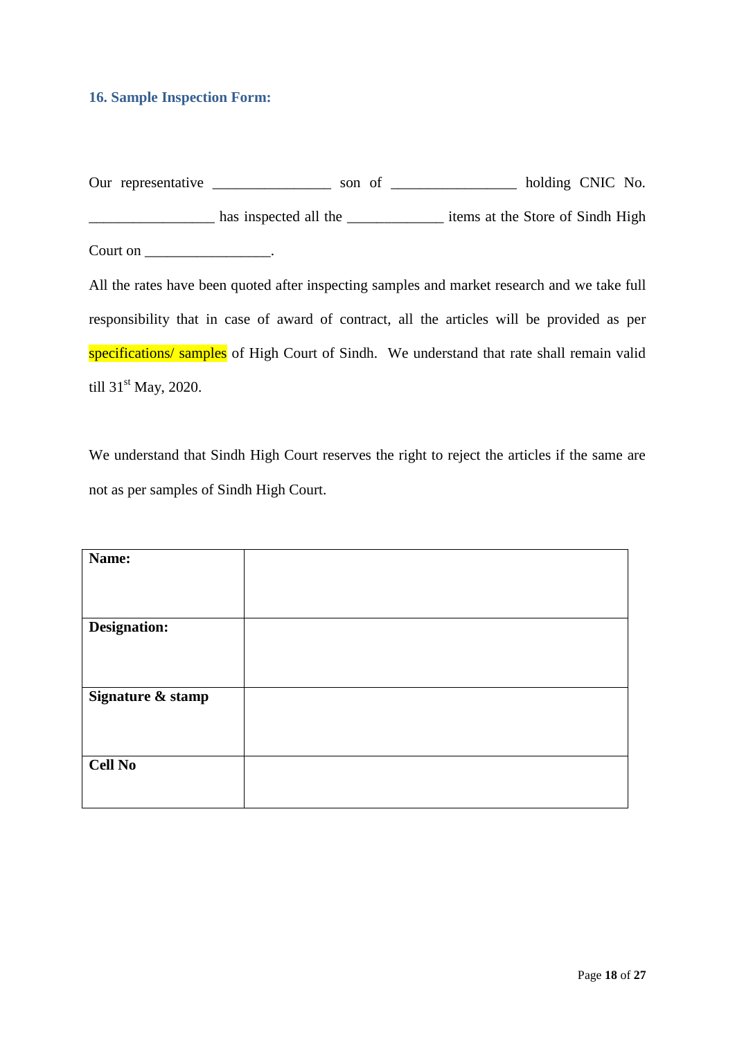#### <span id="page-17-0"></span>**16. Sample Inspection Form:**

Our representative \_\_\_\_\_\_\_\_\_\_\_\_\_\_\_\_ son of \_\_\_\_\_\_\_\_\_\_\_\_\_\_\_\_ holding CNIC No. \_\_\_\_\_\_\_\_\_\_\_\_\_\_\_\_\_ has inspected all the \_\_\_\_\_\_\_\_\_\_\_\_\_ items at the Store of Sindh High Court on \_\_\_\_\_\_\_\_\_\_\_\_\_\_\_\_\_\_\_\_.

All the rates have been quoted after inspecting samples and market research and we take full responsibility that in case of award of contract, all the articles will be provided as per specifications/ samples of High Court of Sindh. We understand that rate shall remain valid till  $31<sup>st</sup>$  May, 2020.

We understand that Sindh High Court reserves the right to reject the articles if the same are not as per samples of Sindh High Court.

| Name:               |  |
|---------------------|--|
|                     |  |
|                     |  |
| <b>Designation:</b> |  |
|                     |  |
|                     |  |
| Signature & stamp   |  |
|                     |  |
|                     |  |
|                     |  |
| <b>Cell No</b>      |  |
|                     |  |
|                     |  |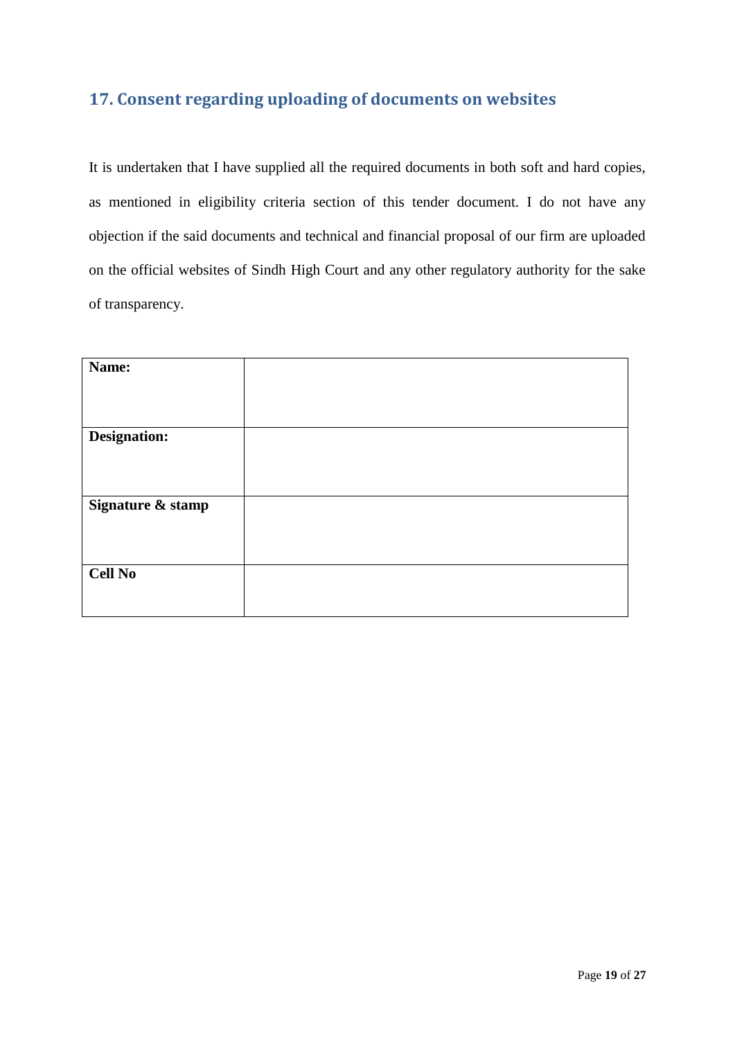# <span id="page-18-0"></span>**17. Consent regarding uploading of documents on websites**

It is undertaken that I have supplied all the required documents in both soft and hard copies, as mentioned in eligibility criteria section of this tender document. I do not have any objection if the said documents and technical and financial proposal of our firm are uploaded on the official websites of Sindh High Court and any other regulatory authority for the sake of transparency.

| Name:             |  |
|-------------------|--|
|                   |  |
|                   |  |
| Designation:      |  |
|                   |  |
|                   |  |
| Signature & stamp |  |
|                   |  |
|                   |  |
| <b>Cell No</b>    |  |
|                   |  |
|                   |  |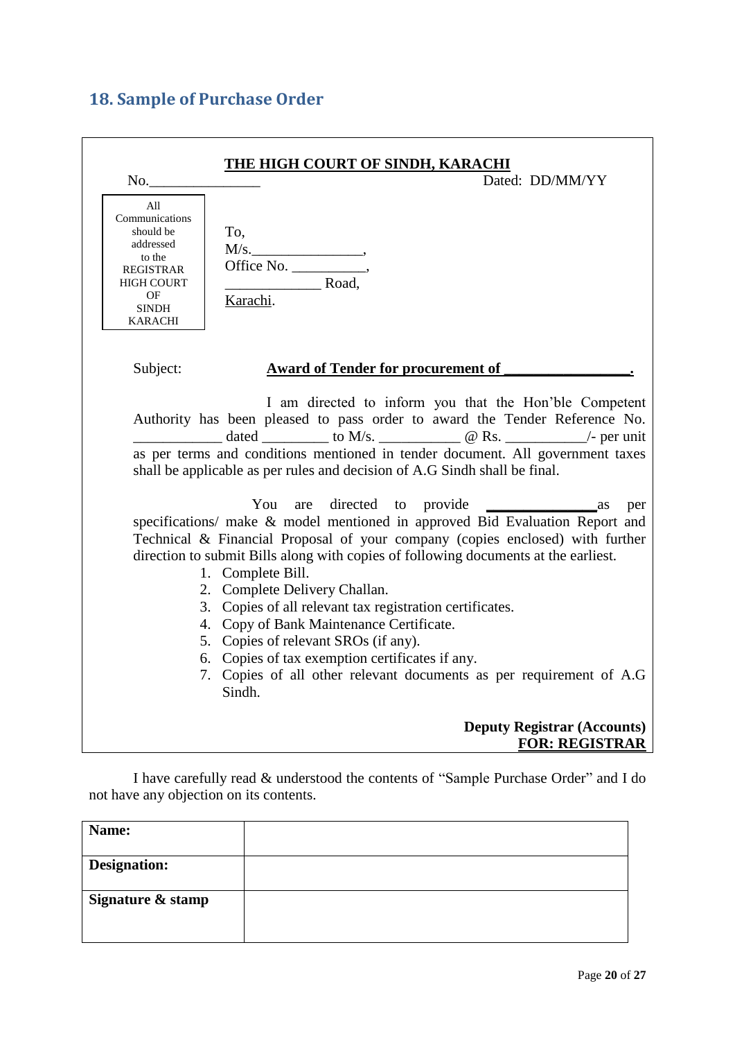# <span id="page-19-0"></span>**18. Sample of Purchase Order**

| <u>THE HIGH COURT OF SINDH, KARACHI</u><br>Dated: DD/MM/YY<br>No.                                                                                                                                                                                                                                                                                                                                                                                                                                                                                                                                                         |     |
|---------------------------------------------------------------------------------------------------------------------------------------------------------------------------------------------------------------------------------------------------------------------------------------------------------------------------------------------------------------------------------------------------------------------------------------------------------------------------------------------------------------------------------------------------------------------------------------------------------------------------|-----|
| All<br>Communications<br>should be<br>To,<br>addressed<br>M/s.<br>to the<br><b>REGISTRAR</b><br>Road,<br><b>HIGH COURT</b><br>OF<br>Karachi.<br><b>SINDH</b><br><b>KARACHI</b>                                                                                                                                                                                                                                                                                                                                                                                                                                            |     |
| Subject:<br><b>Award of Tender for procurement of</b>                                                                                                                                                                                                                                                                                                                                                                                                                                                                                                                                                                     |     |
| I am directed to inform you that the Hon'ble Competent<br>Authority has been pleased to pass order to award the Tender Reference No.<br>dated ___________ to M/s. ________________ @ Rs. _____________/- per unit<br>as per terms and conditions mentioned in tender document. All government taxes<br>shall be applicable as per rules and decision of A.G Sindh shall be final.                                                                                                                                                                                                                                         |     |
| You<br>$\frac{1}{2}$ as<br>specifications/ make & model mentioned in approved Bid Evaluation Report and<br>Technical & Financial Proposal of your company (copies enclosed) with further<br>direction to submit Bills along with copies of following documents at the earliest.<br>1. Complete Bill.<br>2. Complete Delivery Challan.<br>3. Copies of all relevant tax registration certificates.<br>4. Copy of Bank Maintenance Certificate.<br>5. Copies of relevant SROs (if any).<br>6. Copies of tax exemption certificates if any.<br>7. Copies of all other relevant documents as per requirement of A.G<br>Sindh. | per |
| <b>Deputy Registrar (Accounts)</b><br><b>FOR: REGISTRAR</b>                                                                                                                                                                                                                                                                                                                                                                                                                                                                                                                                                               |     |

I have carefully read & understood the contents of "Sample Purchase Order" and I do not have any objection on its contents.

| Name:             |  |
|-------------------|--|
| Designation:      |  |
| Signature & stamp |  |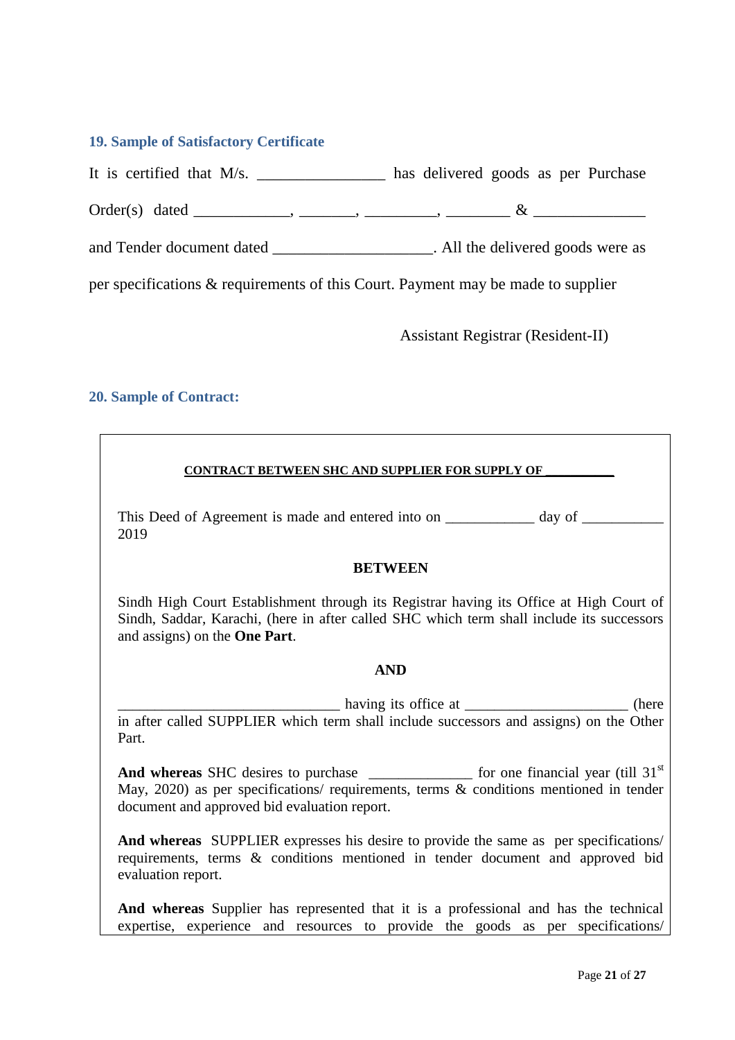#### <span id="page-20-0"></span>**19. Sample of Satisfactory Certificate**

It is certified that M/s. \_\_\_\_\_\_\_\_\_\_\_\_\_\_\_\_ has delivered goods as per Purchase

Order(s) dated \_\_\_\_\_\_\_\_\_\_\_\_, \_\_\_\_\_\_\_, \_\_\_\_\_\_\_\_\_, \_\_\_\_\_\_\_\_ & \_\_\_\_\_\_\_\_\_\_\_\_\_\_

and Tender document dated \_\_\_\_\_\_\_\_\_\_\_\_\_\_\_\_\_\_\_\_\_\_. All the delivered goods were as

per specifications & requirements of this Court. Payment may be made to supplier

Assistant Registrar (Resident-II)

## <span id="page-20-1"></span>**20. Sample of Contract:**

#### **CONTRACT BETWEEN SHC AND SUPPLIER FOR SUPPLY OF \_\_\_\_\_\_\_\_\_\_\_**

This Deed of Agreement is made and entered into on \_\_\_\_\_\_\_\_\_\_\_ day of \_\_\_\_\_\_\_\_\_\_ 2019

#### **BETWEEN**

Sindh High Court Establishment through its Registrar having its Office at High Court of Sindh, Saddar, Karachi, (here in after called SHC which term shall include its successors and assigns) on the **One Part**.

#### **AND**

having its office at \_\_\_\_\_\_\_\_\_\_\_\_\_\_\_\_\_\_\_\_\_\_\_\_\_\_ (here in after called SUPPLIER which term shall include successors and assigns) on the Other Part.

And whereas SHC desires to purchase for one financial year (till 31<sup>st</sup>) May, 2020) as per specifications/ requirements, terms & conditions mentioned in tender document and approved bid evaluation report.

**And whereas** SUPPLIER expresses his desire to provide the same as per specifications/ requirements, terms & conditions mentioned in tender document and approved bid evaluation report.

**And whereas** Supplier has represented that it is a professional and has the technical expertise, experience and resources to provide the goods as per specifications/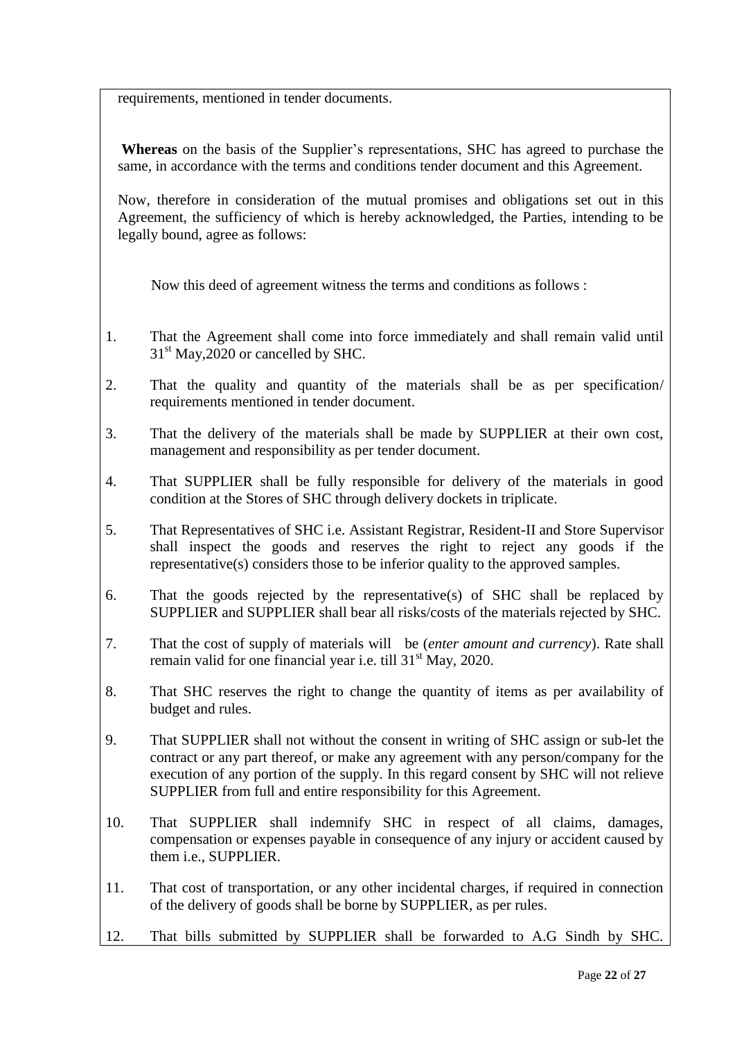requirements, mentioned in tender documents.

**Whereas** on the basis of the Supplier"s representations, SHC has agreed to purchase the same, in accordance with the terms and conditions tender document and this Agreement.

Now, therefore in consideration of the mutual promises and obligations set out in this Agreement, the sufficiency of which is hereby acknowledged, the Parties, intending to be legally bound, agree as follows:

Now this deed of agreement witness the terms and conditions as follows :

- 1. That the Agreement shall come into force immediately and shall remain valid until  $31<sup>st</sup>$  May, 2020 or cancelled by SHC.
- 2. That the quality and quantity of the materials shall be as per specification/ requirements mentioned in tender document.
- 3. That the delivery of the materials shall be made by SUPPLIER at their own cost, management and responsibility as per tender document.
- 4. That SUPPLIER shall be fully responsible for delivery of the materials in good condition at the Stores of SHC through delivery dockets in triplicate.
- 5. That Representatives of SHC i.e. Assistant Registrar, Resident-II and Store Supervisor shall inspect the goods and reserves the right to reject any goods if the representative(s) considers those to be inferior quality to the approved samples.
- 6. That the goods rejected by the representative(s) of SHC shall be replaced by SUPPLIER and SUPPLIER shall bear all risks/costs of the materials rejected by SHC.
- 7. That the cost of supply of materials will be (*enter amount and currency*). Rate shall remain valid for one financial year i.e. till 31<sup>st</sup> May, 2020.
- 8. That SHC reserves the right to change the quantity of items as per availability of budget and rules.
- 9. That SUPPLIER shall not without the consent in writing of SHC assign or sub-let the contract or any part thereof, or make any agreement with any person/company for the execution of any portion of the supply. In this regard consent by SHC will not relieve SUPPLIER from full and entire responsibility for this Agreement.
- 10. That SUPPLIER shall indemnify SHC in respect of all claims, damages, compensation or expenses payable in consequence of any injury or accident caused by them i.e., SUPPLIER.
- 11. That cost of transportation, or any other incidental charges, if required in connection of the delivery of goods shall be borne by SUPPLIER, as per rules.
- 12. That bills submitted by SUPPLIER shall be forwarded to A.G Sindh by SHC.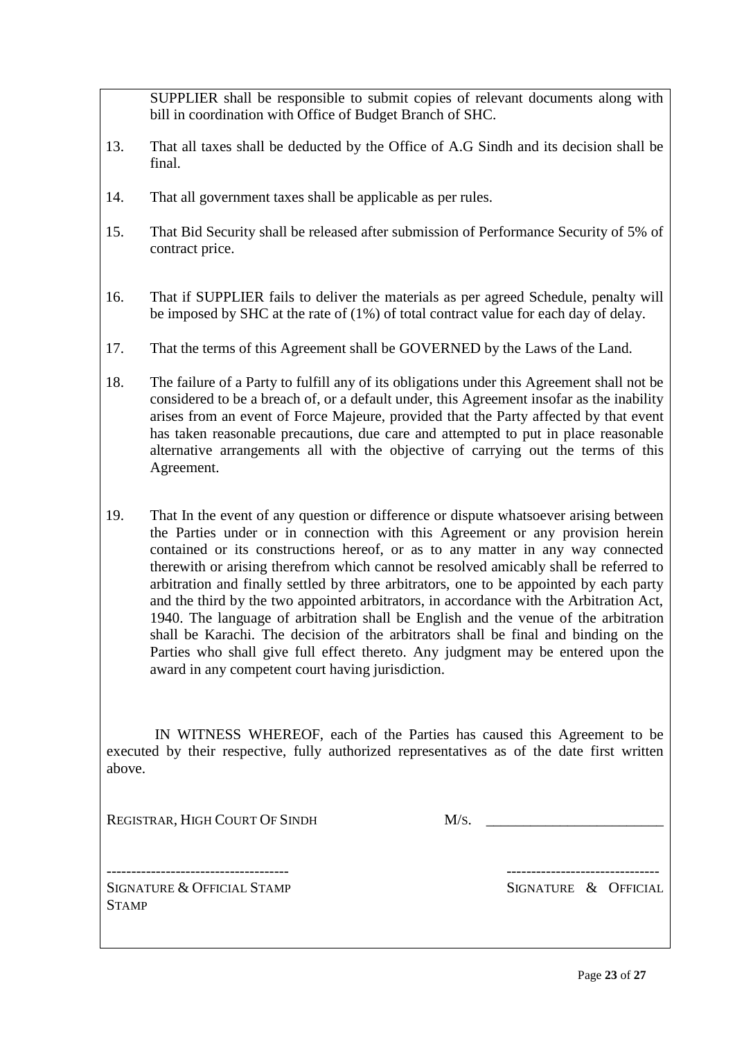SUPPLIER shall be responsible to submit copies of relevant documents along with bill in coordination with Office of Budget Branch of SHC.

- 13. That all taxes shall be deducted by the Office of A.G Sindh and its decision shall be final.
- 14. That all government taxes shall be applicable as per rules.
- 15. That Bid Security shall be released after submission of Performance Security of 5% of contract price.
- 16. That if SUPPLIER fails to deliver the materials as per agreed Schedule, penalty will be imposed by SHC at the rate of (1%) of total contract value for each day of delay.
- 17. That the terms of this Agreement shall be GOVERNED by the Laws of the Land.
- 18. The failure of a Party to fulfill any of its obligations under this Agreement shall not be considered to be a breach of, or a default under, this Agreement insofar as the inability arises from an event of Force Majeure, provided that the Party affected by that event has taken reasonable precautions, due care and attempted to put in place reasonable alternative arrangements all with the objective of carrying out the terms of this Agreement.
- 19. That In the event of any question or difference or dispute whatsoever arising between the Parties under or in connection with this Agreement or any provision herein contained or its constructions hereof, or as to any matter in any way connected therewith or arising therefrom which cannot be resolved amicably shall be referred to arbitration and finally settled by three arbitrators, one to be appointed by each party and the third by the two appointed arbitrators, in accordance with the Arbitration Act, 1940. The language of arbitration shall be English and the venue of the arbitration shall be Karachi. The decision of the arbitrators shall be final and binding on the Parties who shall give full effect thereto. Any judgment may be entered upon the award in any competent court having jurisdiction.

 IN WITNESS WHEREOF, each of the Parties has caused this Agreement to be executed by their respective, fully authorized representatives as of the date first written above.

REGISTRAR, HIGH COURT OF SINDH M/S.

SIGNATURE & OFFICIAL STAMP SIGNATURE & OFFICIAL **STAMP** 

------------------------------------- -------------------------------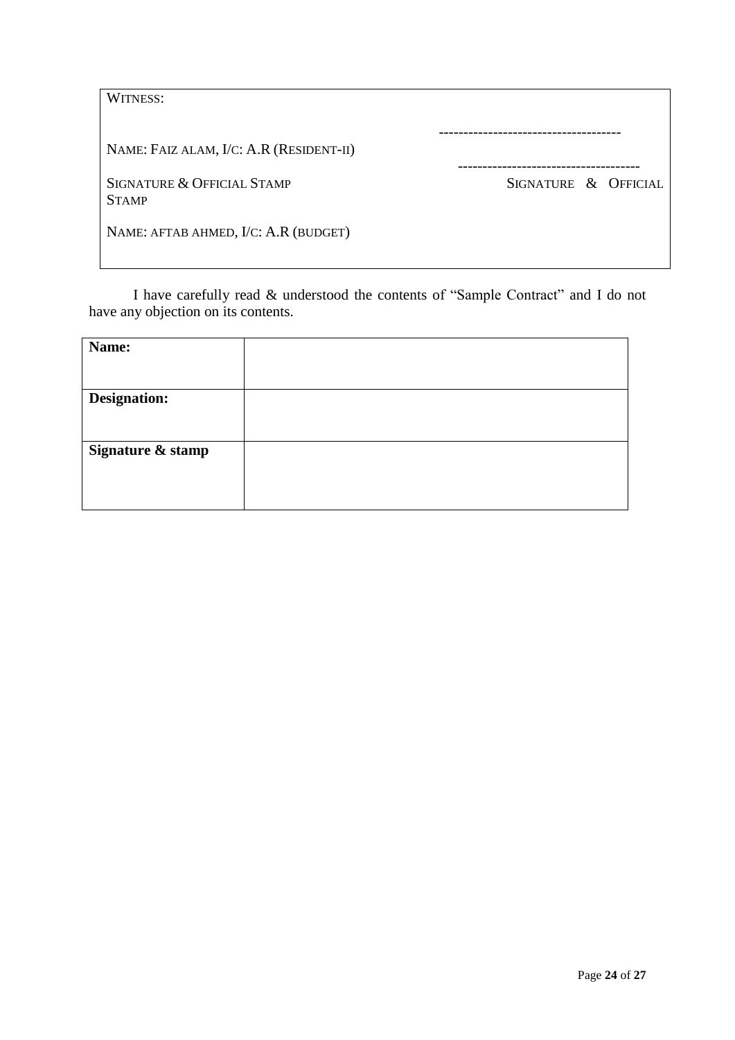| WITNESS:                                   |                      |
|--------------------------------------------|----------------------|
| NAME: FAIZ ALAM, I/C: A.R (RESIDENT-II)    |                      |
| SIGNATURE & OFFICIAL STAMP<br><b>STAMP</b> | SIGNATURE & OFFICIAL |
| NAME: AFTAB AHMED, I/C: A.R (BUDGET)       |                      |

I have carefully read & understood the contents of "Sample Contract" and I do not have any objection on its contents.

| Name:               |  |
|---------------------|--|
|                     |  |
| <b>Designation:</b> |  |
|                     |  |
| Signature & stamp   |  |
|                     |  |
|                     |  |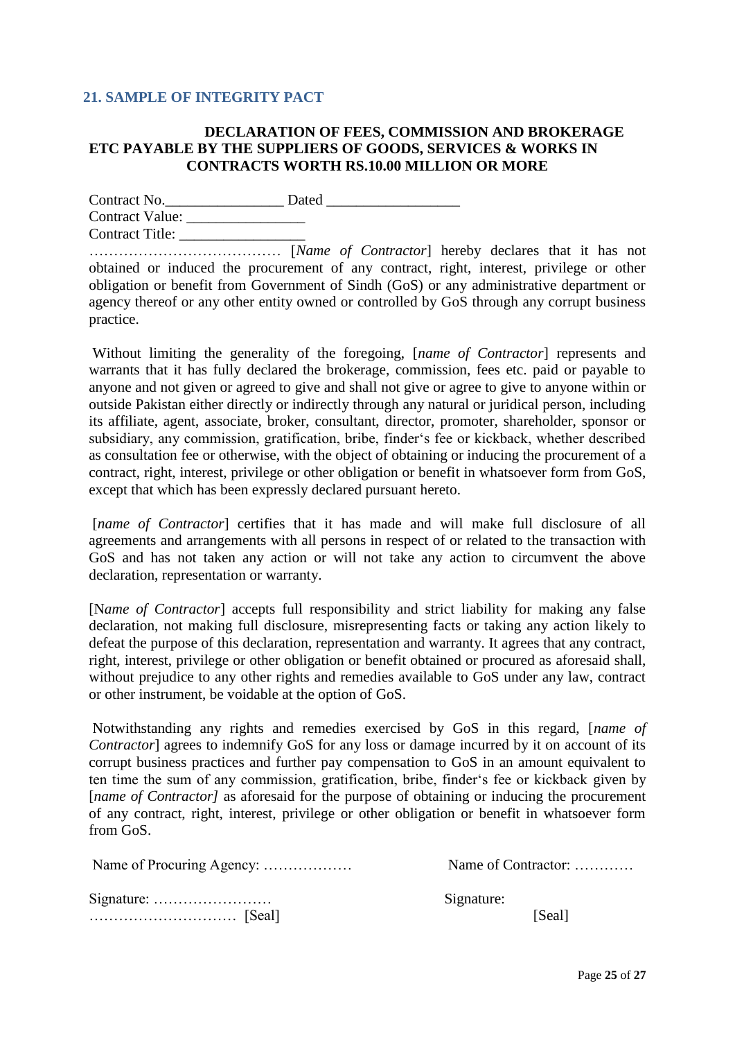#### <span id="page-24-0"></span>**21. SAMPLE OF INTEGRITY PACT**

#### **DECLARATION OF FEES, COMMISSION AND BROKERAGE ETC PAYABLE BY THE SUPPLIERS OF GOODS, SERVICES & WORKS IN CONTRACTS WORTH RS.10.00 MILLION OR MORE**

Contract No.\_\_\_\_\_\_\_\_\_\_\_\_\_\_\_\_ Dated \_\_\_\_\_\_\_\_\_\_\_\_\_\_\_\_\_\_ Contract Value: \_\_\_\_\_\_\_\_\_\_\_\_\_\_\_\_ Contract Title: \_\_\_\_\_\_\_\_\_\_\_\_\_\_\_\_\_

………………………………… [*Name of Contractor*] hereby declares that it has not obtained or induced the procurement of any contract, right, interest, privilege or other obligation or benefit from Government of Sindh (GoS) or any administrative department or agency thereof or any other entity owned or controlled by GoS through any corrupt business practice.

Without limiting the generality of the foregoing, [*name of Contractor*] represents and warrants that it has fully declared the brokerage, commission, fees etc. paid or payable to anyone and not given or agreed to give and shall not give or agree to give to anyone within or outside Pakistan either directly or indirectly through any natural or juridical person, including its affiliate, agent, associate, broker, consultant, director, promoter, shareholder, sponsor or subsidiary, any commission, gratification, bribe, finder"s fee or kickback, whether described as consultation fee or otherwise, with the object of obtaining or inducing the procurement of a contract, right, interest, privilege or other obligation or benefit in whatsoever form from GoS, except that which has been expressly declared pursuant hereto.

[*name of Contractor*] certifies that it has made and will make full disclosure of all agreements and arrangements with all persons in respect of or related to the transaction with GoS and has not taken any action or will not take any action to circumvent the above declaration, representation or warranty.

[N*ame of Contractor*] accepts full responsibility and strict liability for making any false declaration, not making full disclosure, misrepresenting facts or taking any action likely to defeat the purpose of this declaration, representation and warranty. It agrees that any contract, right, interest, privilege or other obligation or benefit obtained or procured as aforesaid shall, without prejudice to any other rights and remedies available to GoS under any law, contract or other instrument, be voidable at the option of GoS.

Notwithstanding any rights and remedies exercised by GoS in this regard, [*name of Contractor*] agrees to indemnify GoS for any loss or damage incurred by it on account of its corrupt business practices and further pay compensation to GoS in an amount equivalent to ten time the sum of any commission, gratification, bribe, finder"s fee or kickback given by [*name of Contractor*] as aforesaid for the purpose of obtaining or inducing the procurement of any contract, right, interest, privilege or other obligation or benefit in whatsoever form from GoS.

|                                                        | Name of Contractor: |
|--------------------------------------------------------|---------------------|
| Signature: $\dots \dots \dots \dots \dots \dots \dots$ | Signature:          |
|                                                        | [Seal]              |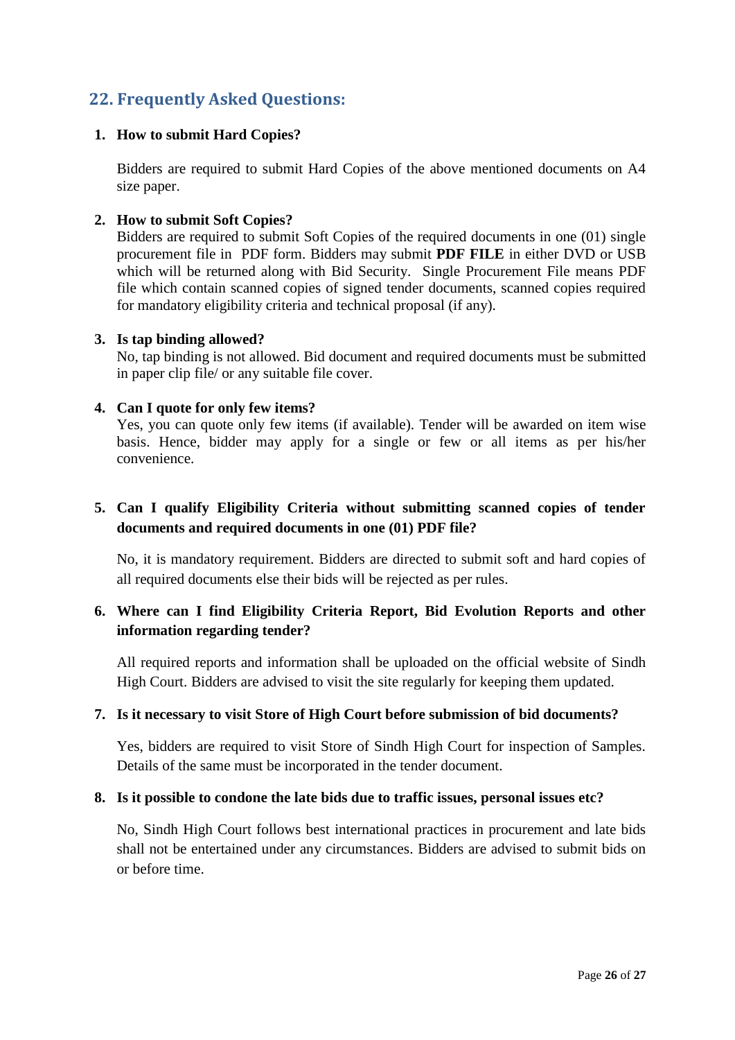# <span id="page-25-0"></span>**22. Frequently Asked Questions:**

#### **1. How to submit Hard Copies?**

Bidders are required to submit Hard Copies of the above mentioned documents on A4 size paper.

#### **2. How to submit Soft Copies?**

Bidders are required to submit Soft Copies of the required documents in one (01) single procurement file in PDF form. Bidders may submit **PDF FILE** in either DVD or USB which will be returned along with Bid Security. Single Procurement File means PDF file which contain scanned copies of signed tender documents, scanned copies required for mandatory eligibility criteria and technical proposal (if any).

#### **3. Is tap binding allowed?**

No, tap binding is not allowed. Bid document and required documents must be submitted in paper clip file/ or any suitable file cover.

#### **4. Can I quote for only few items?**

Yes, you can quote only few items (if available). Tender will be awarded on item wise basis. Hence, bidder may apply for a single or few or all items as per his/her convenience.

## **5. Can I qualify Eligibility Criteria without submitting scanned copies of tender documents and required documents in one (01) PDF file?**

No, it is mandatory requirement. Bidders are directed to submit soft and hard copies of all required documents else their bids will be rejected as per rules.

## **6. Where can I find Eligibility Criteria Report, Bid Evolution Reports and other information regarding tender?**

All required reports and information shall be uploaded on the official website of Sindh High Court. Bidders are advised to visit the site regularly for keeping them updated.

#### **7. Is it necessary to visit Store of High Court before submission of bid documents?**

Yes, bidders are required to visit Store of Sindh High Court for inspection of Samples. Details of the same must be incorporated in the tender document.

## **8. Is it possible to condone the late bids due to traffic issues, personal issues etc?**

No, Sindh High Court follows best international practices in procurement and late bids shall not be entertained under any circumstances. Bidders are advised to submit bids on or before time.